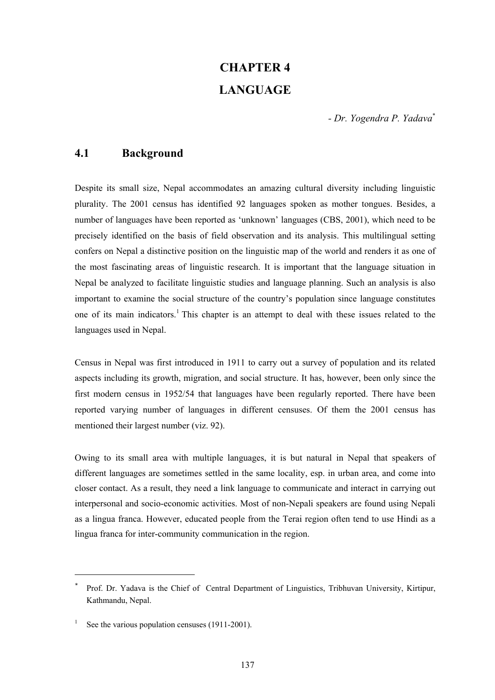# **CHAPTER 4 LANGUAGE**

*- Dr. Yogendra P. Yadava*\*

# **4.1 Background**

Despite its small size, Nepal accommodates an amazing cultural diversity including linguistic plurality. The 2001 census has identified 92 languages spoken as mother tongues. Besides, a number of languages have been reported as 'unknown' languages (CBS, 2001), which need to be precisely identified on the basis of field observation and its analysis. This multilingual setting confers on Nepal a distinctive position on the linguistic map of the world and renders it as one of the most fascinating areas of linguistic research. It is important that the language situation in Nepal be analyzed to facilitate linguistic studies and language planning. Such an analysis is also important to examine the social structure of the country's population since language constitutes one of its main indicators.<sup>1</sup> This chapter is an attempt to deal with these issues related to the languages used in Nepal.

Census in Nepal was first introduced in 1911 to carry out a survey of population and its related aspects including its growth, migration, and social structure. It has, however, been only since the first modern census in 1952/54 that languages have been regularly reported. There have been reported varying number of languages in different censuses. Of them the 2001 census has mentioned their largest number (viz. 92).

Owing to its small area with multiple languages, it is but natural in Nepal that speakers of different languages are sometimes settled in the same locality, esp. in urban area, and come into closer contact. As a result, they need a link language to communicate and interact in carrying out interpersonal and socio-economic activities. Most of non-Nepali speakers are found using Nepali as a lingua franca. However, educated people from the Terai region often tend to use Hindi as a lingua franca for inter-community communication in the region.

l

<sup>\*</sup> Prof. Dr. Yadava is the Chief of Central Department of Linguistics, Tribhuvan University, Kirtipur, Kathmandu, Nepal.

<sup>1</sup> See the various population censuses (1911-2001).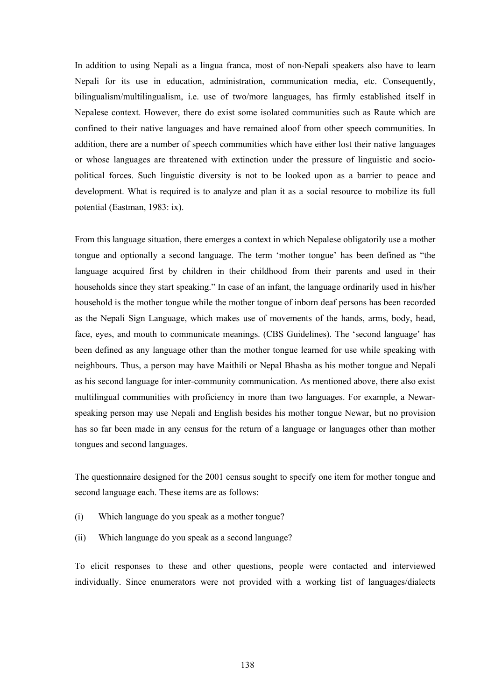In addition to using Nepali as a lingua franca, most of non-Nepali speakers also have to learn Nepali for its use in education, administration, communication media, etc. Consequently, bilingualism/multilingualism, i.e. use of two/more languages, has firmly established itself in Nepalese context. However, there do exist some isolated communities such as Raute which are confined to their native languages and have remained aloof from other speech communities. In addition, there are a number of speech communities which have either lost their native languages or whose languages are threatened with extinction under the pressure of linguistic and sociopolitical forces. Such linguistic diversity is not to be looked upon as a barrier to peace and development. What is required is to analyze and plan it as a social resource to mobilize its full potential (Eastman, 1983: ix).

From this language situation, there emerges a context in which Nepalese obligatorily use a mother tongue and optionally a second language. The term 'mother tongue' has been defined as "the language acquired first by children in their childhood from their parents and used in their households since they start speaking." In case of an infant, the language ordinarily used in his/her household is the mother tongue while the mother tongue of inborn deaf persons has been recorded as the Nepali Sign Language, which makes use of movements of the hands, arms, body, head, face, eyes, and mouth to communicate meanings. (CBS Guidelines). The 'second language' has been defined as any language other than the mother tongue learned for use while speaking with neighbours. Thus, a person may have Maithili or Nepal Bhasha as his mother tongue and Nepali as his second language for inter-community communication. As mentioned above, there also exist multilingual communities with proficiency in more than two languages. For example, a Newarspeaking person may use Nepali and English besides his mother tongue Newar, but no provision has so far been made in any census for the return of a language or languages other than mother tongues and second languages.

The questionnaire designed for the 2001 census sought to specify one item for mother tongue and second language each. These items are as follows:

- (i) Which language do you speak as a mother tongue?
- (ii) Which language do you speak as a second language?

To elicit responses to these and other questions, people were contacted and interviewed individually. Since enumerators were not provided with a working list of languages/dialects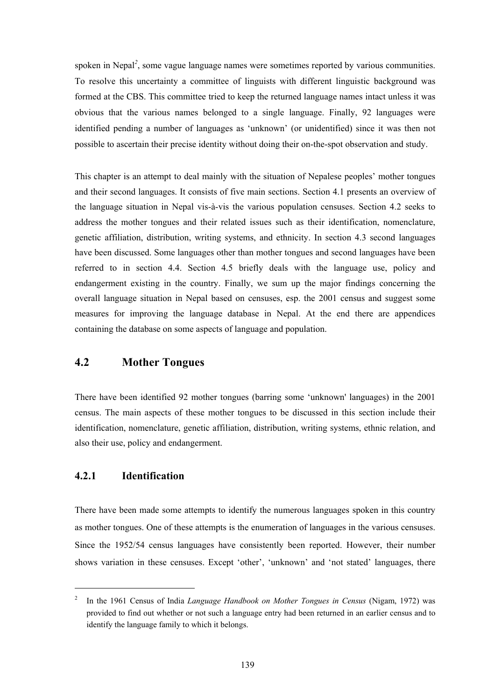spoken in Nepal<sup>2</sup>, some vague language names were sometimes reported by various communities. To resolve this uncertainty a committee of linguists with different linguistic background was formed at the CBS. This committee tried to keep the returned language names intact unless it was obvious that the various names belonged to a single language. Finally, 92 languages were identified pending a number of languages as 'unknown' (or unidentified) since it was then not possible to ascertain their precise identity without doing their on-the-spot observation and study.

This chapter is an attempt to deal mainly with the situation of Nepalese peoples' mother tongues and their second languages. It consists of five main sections. Section 4.1 presents an overview of the language situation in Nepal vis-à-vis the various population censuses. Section 4.2 seeks to address the mother tongues and their related issues such as their identification, nomenclature, genetic affiliation, distribution, writing systems, and ethnicity. In section 4.3 second languages have been discussed. Some languages other than mother tongues and second languages have been referred to in section 4.4. Section 4.5 briefly deals with the language use, policy and endangerment existing in the country. Finally, we sum up the major findings concerning the overall language situation in Nepal based on censuses, esp. the 2001 census and suggest some measures for improving the language database in Nepal. At the end there are appendices containing the database on some aspects of language and population.

# **4.2 Mother Tongues**

There have been identified 92 mother tongues (barring some 'unknown' languages) in the 2001 census. The main aspects of these mother tongues to be discussed in this section include their identification, nomenclature, genetic affiliation, distribution, writing systems, ethnic relation, and also their use, policy and endangerment.

## **4.2.1 Identification**

l

There have been made some attempts to identify the numerous languages spoken in this country as mother tongues. One of these attempts is the enumeration of languages in the various censuses. Since the 1952/54 census languages have consistently been reported. However, their number shows variation in these censuses. Except 'other', 'unknown' and 'not stated' languages, there

<sup>2</sup> In the 1961 Census of India *Language Handbook on Mother Tongues in Census* (Nigam, 1972) was provided to find out whether or not such a language entry had been returned in an earlier census and to identify the language family to which it belongs.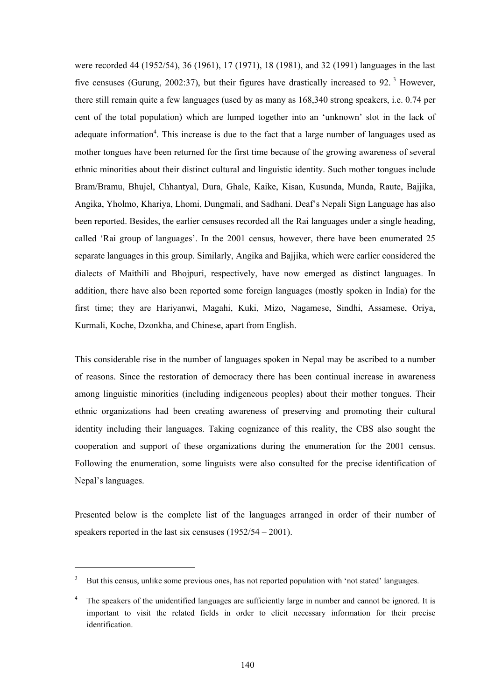were recorded 44 (1952/54), 36 (1961), 17 (1971), 18 (1981), and 32 (1991) languages in the last five censuses (Gurung, 2002:37), but their figures have drastically increased to 92.<sup>3</sup> However, there still remain quite a few languages (used by as many as 168,340 strong speakers, i.e. 0.74 per cent of the total population) which are lumped together into an 'unknown' slot in the lack of adequate information<sup>4</sup>. This increase is due to the fact that a large number of languages used as mother tongues have been returned for the first time because of the growing awareness of several ethnic minorities about their distinct cultural and linguistic identity. Such mother tongues include Bram/Bramu, Bhujel, Chhantyal, Dura, Ghale, Kaike, Kisan, Kusunda, Munda, Raute, Bajjika, Angika, Yholmo, Khariya, Lhomi, Dungmali, and Sadhani. Deaf's Nepali Sign Language has also been reported. Besides, the earlier censuses recorded all the Rai languages under a single heading, called 'Rai group of languages'. In the 2001 census, however, there have been enumerated 25 separate languages in this group. Similarly, Angika and Bajjika, which were earlier considered the dialects of Maithili and Bhojpuri, respectively, have now emerged as distinct languages. In addition, there have also been reported some foreign languages (mostly spoken in India) for the first time; they are Hariyanwi, Magahi, Kuki, Mizo, Nagamese, Sindhi, Assamese, Oriya, Kurmali, Koche, Dzonkha, and Chinese, apart from English.

This considerable rise in the number of languages spoken in Nepal may be ascribed to a number of reasons. Since the restoration of democracy there has been continual increase in awareness among linguistic minorities (including indigeneous peoples) about their mother tongues. Their ethnic organizations had been creating awareness of preserving and promoting their cultural identity including their languages. Taking cognizance of this reality, the CBS also sought the cooperation and support of these organizations during the enumeration for the 2001 census. Following the enumeration, some linguists were also consulted for the precise identification of Nepal's languages.

Presented below is the complete list of the languages arranged in order of their number of speakers reported in the last six censuses (1952/54 – 2001).

l

<sup>&</sup>lt;sup>3</sup> But this census, unlike some previous ones, has not reported population with 'not stated' languages.

<sup>&</sup>lt;sup>4</sup> The speakers of the unidentified languages are sufficiently large in number and cannot be ignored. It is important to visit the related fields in order to elicit necessary information for their precise identification.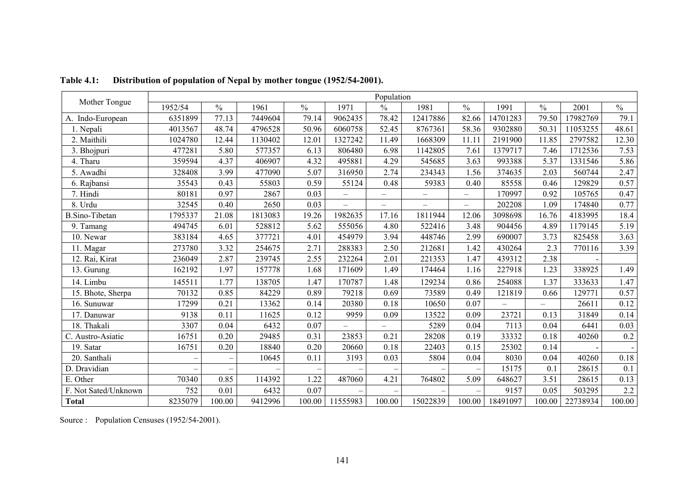|                       |         |                          |         |        |                          | Population               |                   |                          |          |               |          |                  |
|-----------------------|---------|--------------------------|---------|--------|--------------------------|--------------------------|-------------------|--------------------------|----------|---------------|----------|------------------|
| Mother Tongue         | 1952/54 | $\frac{0}{0}$            | 1961    | $\%$   | 1971                     | $\frac{0}{0}$            | 1981              | $\frac{0}{0}$            | 1991     | $\frac{0}{0}$ | 2001     | $\frac{0}{0}$    |
| A. Indo-European      | 6351899 | 77.13                    | 7449604 | 79.14  | 9062435                  | 78.42                    | 12417886          | 82.66                    | 14701283 | 79.50         | 17982769 | 79.1             |
| 1. Nepali             | 4013567 | 48.74                    | 4796528 | 50.96  | 6060758                  | 52.45                    | 8767361           | 58.36                    | 9302880  | 50.31         | 11053255 | 48.61            |
| 2. Maithili           | 1024780 | 12.44                    | 1130402 | 12.01  | 1327242                  | 11.49                    | 1668309           | 11.11                    | 2191900  | 11.85         | 2797582  | 12.30            |
| 3. Bhojpuri           | 477281  | 5.80                     | 577357  | 6.13   | 806480                   | 6.98                     | 1142805           | 7.61                     | 1379717  | 7.46          | 1712536  | 7.53             |
| 4. Tharu              | 359594  | 4.37                     | 406907  | 4.32   | 495881                   | 4.29                     | 545685            | 3.63                     | 993388   | 5.37          | 1331546  | 5.86             |
| 5. Awadhi             | 328408  | 3.99                     | 477090  | 5.07   | 316950                   | 2.74                     | 234343            | 1.56                     | 374635   | 2.03          | 560744   | 2.47             |
| 6. Rajbansi           | 35543   | 0.43                     | 55803   | 0.59   | 55124                    | 0.48                     | 59383             | 0.40                     | 85558    | 0.46          | 129829   | 0.57             |
| 7. Hindi              | 80181   | 0.97                     | 2867    | 0.03   | $\overline{\phantom{0}}$ | $\overline{\phantom{0}}$ | $\qquad \qquad -$ | $\overline{\phantom{0}}$ | 170997   | 0.92          | 105765   | 0.47             |
| 8. Urdu               | 32545   | 0.40                     | 2650    | 0.03   |                          | $\overline{\phantom{0}}$ |                   | $\equiv$                 | 202208   | 1.09          | 174840   | 0.77             |
| <b>B.Sino-Tibetan</b> | 1795337 | 21.08                    | 1813083 | 19.26  | 1982635                  | 17.16                    | 1811944           | 12.06                    | 3098698  | 16.76         | 4183995  | 18.4             |
| 9. Tamang             | 494745  | 6.01                     | 528812  | 5.62   | 555056                   | 4.80                     | 522416            | 3.48                     | 904456   | 4.89          | 1179145  | 5.19             |
| 10. Newar             | 383184  | 4.65                     | 377721  | 4.01   | 454979                   | 3.94                     | 448746            | 2.99                     | 690007   | 3.73          | 825458   | 3.63             |
| 11. Magar             | 273780  | 3.32                     | 254675  | 2.71   | 288383                   | 2.50                     | 212681            | 1.42                     | 430264   | 2.3           | 770116   | 3.39             |
| 12. Rai, Kirat        | 236049  | 2.87                     | 239745  | 2.55   | 232264                   | 2.01                     | 221353            | 1.47                     | 439312   | 2.38          |          |                  |
| 13. Gurung            | 162192  | 1.97                     | 157778  | 1.68   | 171609                   | 1.49                     | 174464            | 1.16                     | 227918   | 1.23          | 338925   | 1.49             |
| 14. Limbu             | 145511  | 1.77                     | 138705  | 1.47   | 170787                   | 1.48                     | 129234            | 0.86                     | 254088   | 1.37          | 333633   | 1.47             |
| 15. Bhote, Sherpa     | 70132   | 0.85                     | 84229   | 0.89   | 79218                    | 0.69                     | 73589             | 0.49                     | 121819   | 0.66          | 129771   | 0.57             |
| 16. Sunuwar           | 17299   | 0.21                     | 13362   | 0.14   | 20380                    | 0.18                     | 10650             | 0.07                     | $\equiv$ |               | 26611    | 0.12             |
| 17. Danuwar           | 9138    | 0.11                     | 11625   | 0.12   | 9959                     | 0.09                     | 13522             | 0.09                     | 23721    | 0.13          | 31849    | 0.14             |
| 18. Thakali           | 3307    | 0.04                     | 6432    | 0.07   |                          | Ξ.                       | 5289              | 0.04                     | 7113     | 0.04          | 6441     | 0.03             |
| C. Austro-Asiatic     | 16751   | 0.20                     | 29485   | 0.31   | 23853                    | 0.21                     | 28208             | 0.19                     | 33332    | 0.18          | 40260    | 0.2              |
| 19. Satar             | 16751   | 0.20                     | 18840   | 0.20   | 20660                    | 0.18                     | 22403             | 0.15                     | 25302    | 0.14          |          |                  |
| 20. Santhali          |         | $\overline{\phantom{m}}$ | 10645   | 0.11   | 3193                     | 0.03                     | 5804              | 0.04                     | 8030     | 0.04          | 40260    | 0.18             |
| D. Dravidian          |         |                          |         |        |                          |                          |                   |                          | 15175    | 0.1           | 28615    | $\overline{0.1}$ |
| E. Other              | 70340   | 0.85                     | 114392  | 1.22   | 487060                   | 4.21                     | 764802            | 5.09                     | 648627   | 3.51          | 28615    | 0.13             |
| F. Not Sated/Unknown  | 752     | 0.01                     | 6432    | 0.07   |                          |                          |                   |                          | 9157     | 0.05          | 503295   | 2.2              |
| <b>Total</b>          | 8235079 | 100.00                   | 9412996 | 100.00 | 11555983                 | 100.00                   | 15022839          | 100.00                   | 18491097 | 100.00        | 22738934 | 100.00           |

**Table 4.1: Distribution of population of Nepal by mother tongue (1952/54-2001).** 

Source : Population Censuses (1952/54-2001).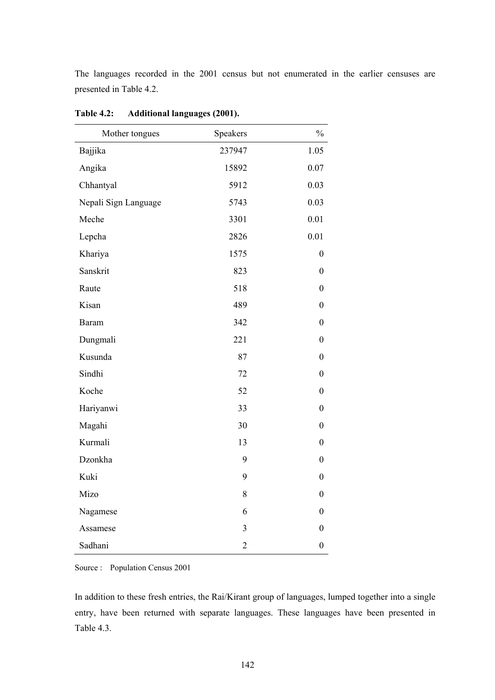The languages recorded in the 2001 census but not enumerated in the earlier censuses are presented in Table 4.2.

| Mother tongues       | Speakers                | $\frac{0}{0}$    |
|----------------------|-------------------------|------------------|
| Bajjika              | 237947                  | 1.05             |
| Angika               | 15892                   | 0.07             |
| Chhantyal            | 5912                    | 0.03             |
| Nepali Sign Language | 5743                    | 0.03             |
| Meche                | 3301                    | 0.01             |
| Lepcha               | 2826                    | 0.01             |
| Khariya              | 1575                    | $\boldsymbol{0}$ |
| Sanskrit             | 823                     | $\boldsymbol{0}$ |
| Raute                | 518                     | $\boldsymbol{0}$ |
| Kisan                | 489                     | $\boldsymbol{0}$ |
| <b>Baram</b>         | 342                     | $\boldsymbol{0}$ |
| Dungmali             | 221                     | $\boldsymbol{0}$ |
| Kusunda              | 87                      | $\boldsymbol{0}$ |
| Sindhi               | 72                      | $\boldsymbol{0}$ |
| Koche                | 52                      | $\boldsymbol{0}$ |
| Hariyanwi            | 33                      | $\boldsymbol{0}$ |
| Magahi               | 30                      | $\boldsymbol{0}$ |
| Kurmali              | 13                      | $\boldsymbol{0}$ |
| Dzonkha              | 9                       | $\boldsymbol{0}$ |
| Kuki                 | 9                       | $\boldsymbol{0}$ |
| Mizo                 | 8                       | $\boldsymbol{0}$ |
| Nagamese             | 6                       | $\boldsymbol{0}$ |
| Assamese             | $\overline{\mathbf{3}}$ | $\boldsymbol{0}$ |
| Sadhani              | $\overline{c}$          | $\boldsymbol{0}$ |

**Table 4.2: Additional languages (2001).** 

Source : Population Census 2001

In addition to these fresh entries, the Rai/Kirant group of languages, lumped together into a single entry, have been returned with separate languages. These languages have been presented in Table 4.3.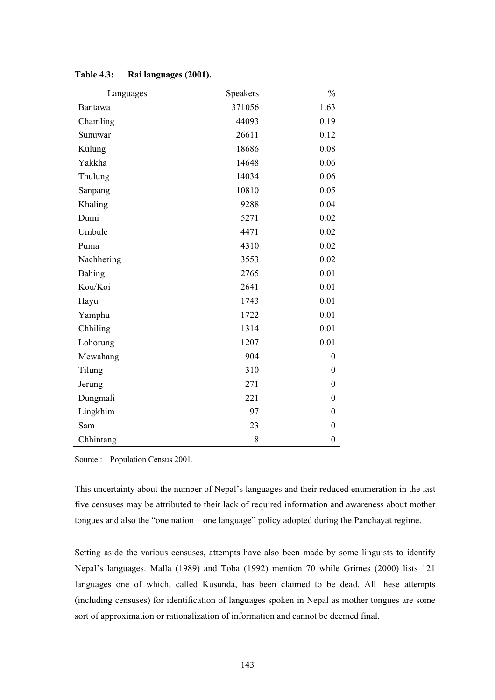| Languages      | Speakers | $\frac{0}{0}$    |
|----------------|----------|------------------|
| <b>Bantawa</b> | 371056   | 1.63             |
| Chamling       | 44093    | 0.19             |
| Sunuwar        | 26611    | 0.12             |
| Kulung         | 18686    | 0.08             |
| Yakkha         | 14648    | 0.06             |
| Thulung        | 14034    | 0.06             |
| Sanpang        | 10810    | 0.05             |
| Khaling        | 9288     | 0.04             |
| Dumi           | 5271     | 0.02             |
| Umbule         | 4471     | 0.02             |
| Puma           | 4310     | 0.02             |
| Nachhering     | 3553     | 0.02             |
| Bahing         | 2765     | 0.01             |
| Kou/Koi        | 2641     | 0.01             |
| Hayu           | 1743     | 0.01             |
| Yamphu         | 1722     | 0.01             |
| Chhiling       | 1314     | 0.01             |
| Lohorung       | 1207     | 0.01             |
| Mewahang       | 904      | $\boldsymbol{0}$ |
| Tilung         | 310      | $\theta$         |
| Jerung         | 271      | $\boldsymbol{0}$ |
| Dungmali       | 221      | $\boldsymbol{0}$ |
| Lingkhim       | 97       | $\boldsymbol{0}$ |
| Sam            | 23       | $\boldsymbol{0}$ |
| Chhintang      | 8        | $\boldsymbol{0}$ |

**Table 4.3: Rai languages (2001).** 

Source : Population Census 2001.

This uncertainty about the number of Nepal's languages and their reduced enumeration in the last five censuses may be attributed to their lack of required information and awareness about mother tongues and also the "one nation – one language" policy adopted during the Panchayat regime.

Setting aside the various censuses, attempts have also been made by some linguists to identify Nepal's languages. Malla (1989) and Toba (1992) mention 70 while Grimes (2000) lists 121 languages one of which, called Kusunda, has been claimed to be dead. All these attempts (including censuses) for identification of languages spoken in Nepal as mother tongues are some sort of approximation or rationalization of information and cannot be deemed final.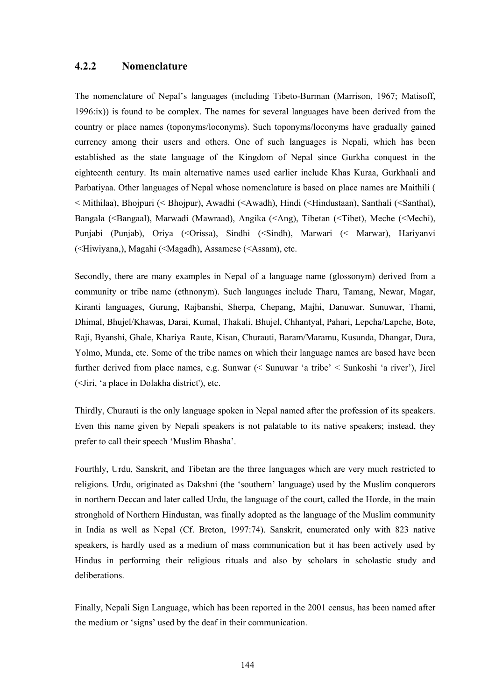### **4.2.2 Nomenclature**

The nomenclature of Nepal's languages (including Tibeto-Burman (Marrison, 1967; Matisoff, 1996:ix)) is found to be complex. The names for several languages have been derived from the country or place names (toponyms/loconyms). Such toponyms/loconyms have gradually gained currency among their users and others. One of such languages is Nepali, which has been established as the state language of the Kingdom of Nepal since Gurkha conquest in the eighteenth century. Its main alternative names used earlier include Khas Kuraa, Gurkhaali and Parbatiyaa. Other languages of Nepal whose nomenclature is based on place names are Maithili ( < Mithilaa), Bhojpuri (< Bhojpur), Awadhi (<Awadh), Hindi (<Hindustaan), Santhali (<Santhal), Bangala (<Bangaal), Marwadi (Mawraad), Angika (<Ang), Tibetan (<Tibet), Meche (<Mechi), Punjabi (Punjab), Oriya (<Orissa), Sindhi (<Sindh), Marwari (< Marwar), Hariyanvi (<Hiwiyana,), Magahi (<Magadh), Assamese (<Assam), etc.

Secondly, there are many examples in Nepal of a language name (glossonym) derived from a community or tribe name (ethnonym). Such languages include Tharu, Tamang, Newar, Magar, Kiranti languages, Gurung, Rajbanshi, Sherpa, Chepang, Majhi, Danuwar, Sunuwar, Thami, Dhimal, Bhujel/Khawas, Darai, Kumal, Thakali, Bhujel, Chhantyal, Pahari, Lepcha/Lapche, Bote, Raji, Byanshi, Ghale, Khariya Raute, Kisan, Churauti, Baram/Maramu, Kusunda, Dhangar, Dura, Yolmo, Munda, etc. Some of the tribe names on which their language names are based have been further derived from place names, e.g. Sunwar (< Sunuwar 'a tribe' < Sunkoshi 'a river'), Jirel (<Jiri, 'a place in Dolakha district'), etc.

Thirdly, Churauti is the only language spoken in Nepal named after the profession of its speakers. Even this name given by Nepali speakers is not palatable to its native speakers; instead, they prefer to call their speech 'Muslim Bhasha'.

Fourthly, Urdu, Sanskrit, and Tibetan are the three languages which are very much restricted to religions. Urdu, originated as Dakshni (the 'southern' language) used by the Muslim conquerors in northern Deccan and later called Urdu, the language of the court, called the Horde, in the main stronghold of Northern Hindustan, was finally adopted as the language of the Muslim community in India as well as Nepal (Cf. Breton, 1997:74). Sanskrit, enumerated only with 823 native speakers, is hardly used as a medium of mass communication but it has been actively used by Hindus in performing their religious rituals and also by scholars in scholastic study and deliberations.

Finally, Nepali Sign Language, which has been reported in the 2001 census, has been named after the medium or 'signs' used by the deaf in their communication.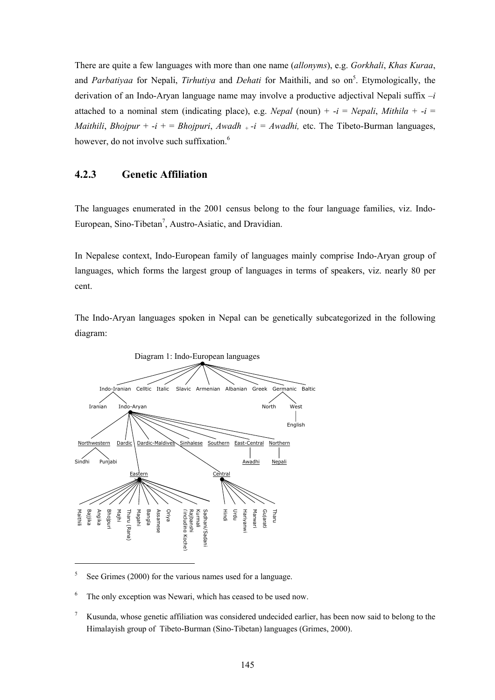There are quite a few languages with more than one name (*allonyms*), e.g. *Gorkhali*, *Khas Kuraa*, and *Parbatiyaa* for Nepali, *Tirhutiya* and *Dehati* for Maithili, and so on<sup>5</sup>. Etymologically, the derivation of an Indo-Aryan language name may involve a productive adjectival Nepali suffix –*i*  attached to a nominal stem (indicating place), e.g. *Nepal* (noun) +  $-i$  = *Nepali*, *Mithila* +  $-i$  = *Maithili*, *Bhojpur* +  $-i$  + = *Bhojpuri*, *Awadh*  $+i$  = *Awadhi*, etc. The Tibeto-Burman languages, however, do not involve such suffixation.<sup>6</sup>

#### **4.2.3 Genetic Affiliation**

The languages enumerated in the 2001 census belong to the four language families, viz. Indo-European, Sino-Tibetan<sup>7</sup>, Austro-Asiatic, and Dravidian.

In Nepalese context, Indo-European family of languages mainly comprise Indo-Aryan group of languages, which forms the largest group of languages in terms of speakers, viz. nearly 80 per cent.

The Indo-Aryan languages spoken in Nepal can be genetically subcategorized in the following diagram:



5 See Grimes (2000) for the various names used for a language.

6 The only exception was Newari, which has ceased to be used now.

7 Kusunda, whose genetic affiliation was considered undecided earlier, has been now said to belong to the Himalayish group of Tibeto-Burman (Sino-Tibetan) languages (Grimes, 2000).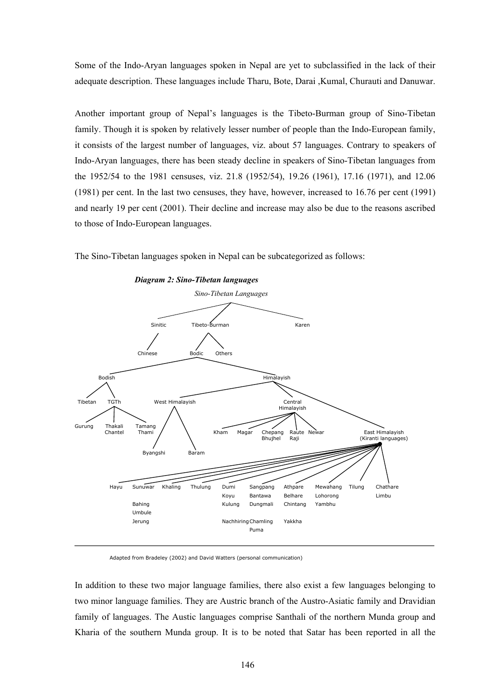Some of the Indo-Aryan languages spoken in Nepal are yet to subclassified in the lack of their adequate description. These languages include Tharu, Bote, Darai ,Kumal, Churauti and Danuwar.

Another important group of Nepal's languages is the Tibeto-Burman group of Sino-Tibetan family. Though it is spoken by relatively lesser number of people than the Indo-European family, it consists of the largest number of languages, viz. about 57 languages. Contrary to speakers of Indo-Aryan languages, there has been steady decline in speakers of Sino-Tibetan languages from the 1952/54 to the 1981 censuses, viz. 21.8 (1952/54), 19.26 (1961), 17.16 (1971), and 12.06 (1981) per cent. In the last two censuses, they have, however, increased to 16.76 per cent (1991) and nearly 19 per cent (2001). Their decline and increase may also be due to the reasons ascribed to those of Indo-European languages.

The Sino-Tibetan languages spoken in Nepal can be subcategorized as follows:



 *Diagram 2: Sino-Tibetan languages* 

Adapted from Bradeley (2002) and David Watters (personal communication)

In addition to these two major language families, there also exist a few languages belonging to two minor language families. They are Austric branch of the Austro-Asiatic family and Dravidian family of languages. The Austic languages comprise Santhali of the northern Munda group and Kharia of the southern Munda group. It is to be noted that Satar has been reported in all the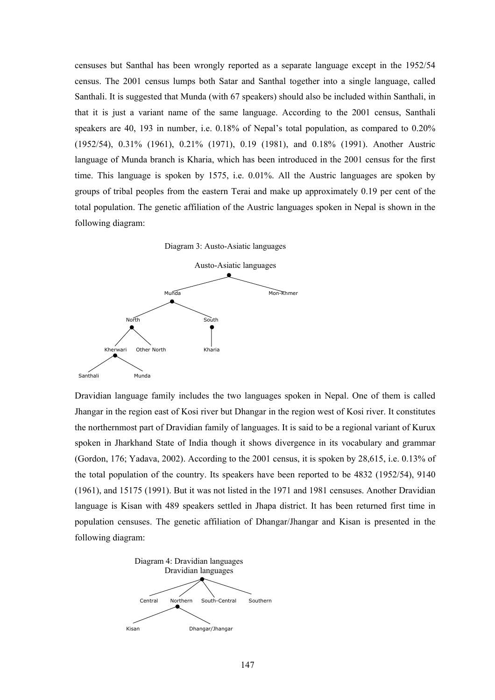censuses but Santhal has been wrongly reported as a separate language except in the 1952/54 census. The 2001 census lumps both Satar and Santhal together into a single language, called Santhali. It is suggested that Munda (with 67 speakers) should also be included within Santhali, in that it is just a variant name of the same language. According to the 2001 census, Santhali speakers are 40, 193 in number, i.e. 0.18% of Nepal's total population, as compared to 0.20% (1952/54), 0.31% (1961), 0.21% (1971), 0.19 (1981), and 0.18% (1991). Another Austric language of Munda branch is Kharia, which has been introduced in the 2001 census for the first time. This language is spoken by 1575, i.e. 0.01%. All the Austric languages are spoken by groups of tribal peoples from the eastern Terai and make up approximately 0.19 per cent of the total population. The genetic affiliation of the Austric languages spoken in Nepal is shown in the following diagram:





Dravidian language family includes the two languages spoken in Nepal. One of them is called Jhangar in the region east of Kosi river but Dhangar in the region west of Kosi river. It constitutes the northernmost part of Dravidian family of languages. It is said to be a regional variant of Kurux spoken in Jharkhand State of India though it shows divergence in its vocabulary and grammar (Gordon, 176; Yadava, 2002). According to the 2001 census, it is spoken by 28,615, i.e. 0.13% of the total population of the country. Its speakers have been reported to be 4832 (1952/54), 9140 (1961), and 15175 (1991). But it was not listed in the 1971 and 1981 censuses. Another Dravidian language is Kisan with 489 speakers settled in Jhapa district. It has been returned first time in population censuses. The genetic affiliation of Dhangar/Jhangar and Kisan is presented in the following diagram:

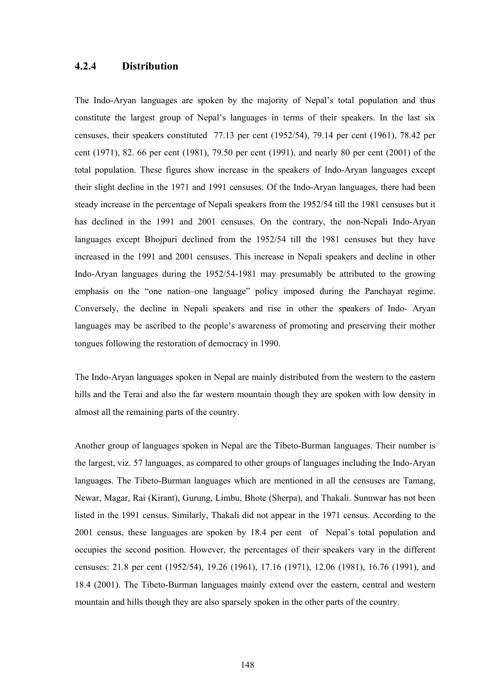### **4.2.4 Distribution**

The Indo-Aryan languages are spoken by the majority of Nepal's total population and thus constitute the largest group of Nepal's languages in terms of their speakers. In the last six censuses, their speakers constituted 77.13 per cent (1952/54), 79.14 per cent (1961), 78.42 per cent (1971), 82. 66 per cent (1981), 79.50 per cent (1991), and nearly 80 per cent (2001) of the total population. These figures show increase in the speakers of Indo-Aryan languages except their slight decline in the 1971 and 1991 censuses. Of the Indo-Aryan languages, there had been steady increase in the percentage of Nepali speakers from the 1952/54 till the 1981 censuses but it has declined in the 1991 and 2001 censuses. On the contrary, the non-Nepali Indo-Aryan languages except Bhojpuri declined from the 1952/54 till the 1981 censuses but they have increased in the 1991 and 2001 censuses. This increase in Nepali speakers and decline in other Indo-Aryan languages during the 1952/54-1981 may presumably be attributed to the growing emphasis on the "one nation–one language" policy imposed during the Panchayat regime. Conversely, the decline in Nepali speakers and rise in other the speakers of Indo- Aryan languages may be ascribed to the people's awareness of promoting and preserving their mother tongues following the restoration of democracy in 1990.

The Indo-Aryan languages spoken in Nepal are mainly distributed from the western to the eastern hills and the Terai and also the far western mountain though they are spoken with low density in almost all the remaining parts of the country.

Another group of languages spoken in Nepal are the Tibeto-Burman languages. Their number is the largest, viz. 57 languages, as compared to other groups of languages including the Indo-Aryan languages. The Tibeto-Burman languages which are mentioned in all the censuses are Tamang, Newar, Magar, Rai (Kirant), Gurung, Limbu, Bhote (Sherpa), and Thakali. Sunuwar has not been listed in the 1991 census. Similarly, Thakali did not appear in the 1971 census. According to the 2001 census, these languages are spoken by 18.4 per cent of Nepal's total population and occupies the second position. However, the percentages of their speakers vary in the different censuses: 21.8 per cent (1952/54), 19.26 (1961), 17.16 (1971), 12.06 (1981), 16.76 (1991), and 18.4 (2001). The Tibeto-Burman languages mainly extend over the eastern, central and western mountain and hills though they are also sparsely spoken in the other parts of the country.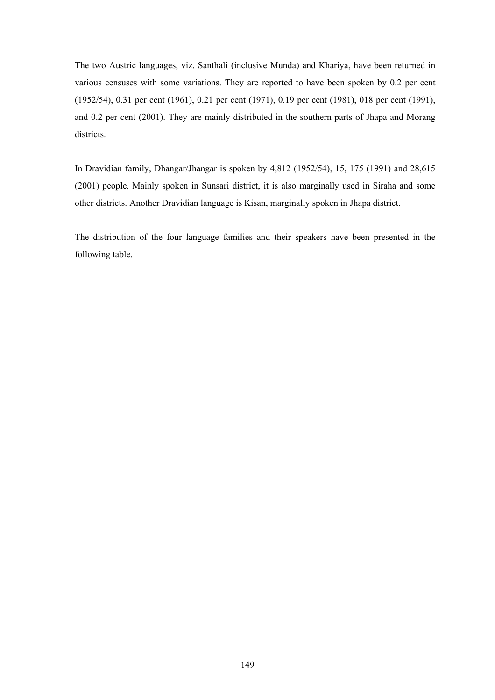The two Austric languages, viz. Santhali (inclusive Munda) and Khariya, have been returned in various censuses with some variations. They are reported to have been spoken by 0.2 per cent (1952/54), 0.31 per cent (1961), 0.21 per cent (1971), 0.19 per cent (1981), 018 per cent (1991), and 0.2 per cent (2001). They are mainly distributed in the southern parts of Jhapa and Morang districts.

In Dravidian family, Dhangar/Jhangar is spoken by 4,812 (1952/54), 15, 175 (1991) and 28,615 (2001) people. Mainly spoken in Sunsari district, it is also marginally used in Siraha and some other districts. Another Dravidian language is Kisan, marginally spoken in Jhapa district.

The distribution of the four language families and their speakers have been presented in the following table.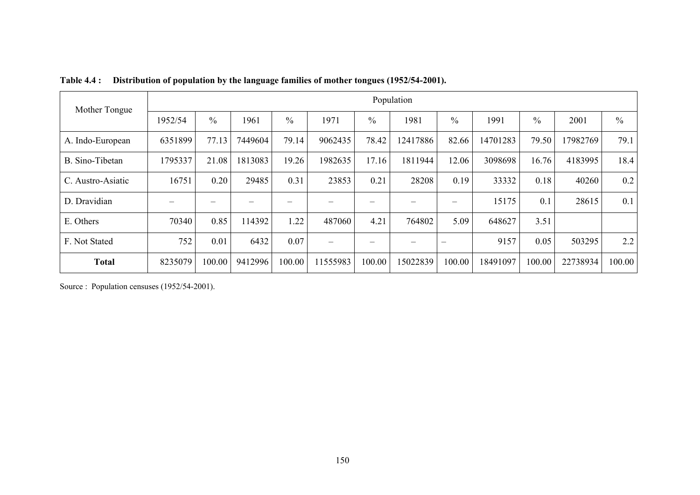| Mother Tongue     | Population |               |         |               |         |        |          |               |          |               |          |               |  |  |  |
|-------------------|------------|---------------|---------|---------------|---------|--------|----------|---------------|----------|---------------|----------|---------------|--|--|--|
|                   | 1952/54    | $\frac{0}{0}$ | 1961    | $\frac{0}{0}$ | 1971    | $\%$   | 1981     | $\frac{0}{0}$ | 1991     | $\frac{0}{0}$ | 2001     | $\frac{0}{0}$ |  |  |  |
| A. Indo-European  | 6351899    | 77.13         | 7449604 | 79.14         | 9062435 | 78.42  | 12417886 | 82.66         | 14701283 | 79.50         | 17982769 | 79.1          |  |  |  |
| B. Sino-Tibetan   | 1795337    | 21.08         | 1813083 | 19.26         | 1982635 | 17.16  | 1811944  | 12.06         | 3098698  | 16.76         | 4183995  | 18.4          |  |  |  |
| C. Austro-Asiatic | 16751      | 0.20          | 29485   | 0.31          | 23853   | 0.21   | 28208    | 0.19          | 33332    | 0.18          | 40260    | 0.2           |  |  |  |
| D. Dravidian      |            |               |         |               |         |        |          |               | 15175    | 0.1           | 28615    | 0.1           |  |  |  |
| E. Others         | 70340      | 0.85          | 114392  | 1.22          | 487060  | 4.21   | 764802   | 5.09          | 648627   | 3.51          |          |               |  |  |  |
| F. Not Stated     | 752        | 0.01          | 6432    | 0.07          |         |        |          |               | 9157     | 0.05          | 503295   | 2.2           |  |  |  |
| <b>Total</b>      | 8235079    | 100.00        | 9412996 | 100.00        | 1555983 | 100.00 | 15022839 | 100.00        | 18491097 | 100.00        | 22738934 | 100.00        |  |  |  |

**Table 4.4 : Distribution of population by the language families of mother tongues (1952/54-2001).** 

Source : Population censuses (1952/54-2001).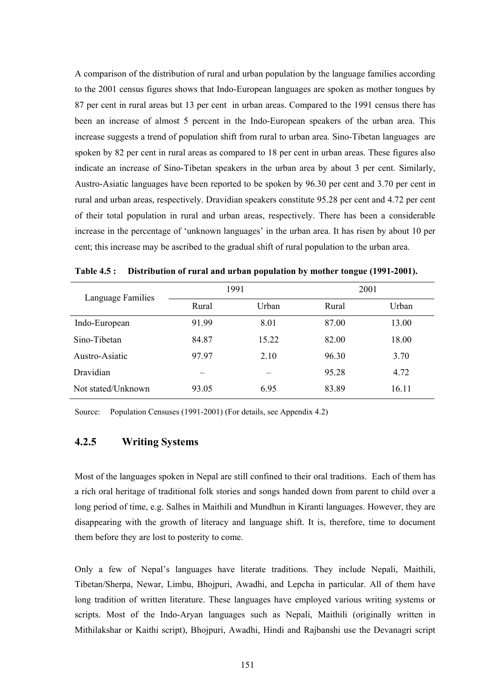A comparison of the distribution of rural and urban population by the language families according to the 2001 census figures shows that Indo-European languages are spoken as mother tongues by 87 per cent in rural areas but 13 per cent in urban areas. Compared to the 1991 census there has been an increase of almost 5 percent in the Indo-European speakers of the urban area. This increase suggests a trend of population shift from rural to urban area. Sino-Tibetan languages are spoken by 82 per cent in rural areas as compared to 18 per cent in urban areas. These figures also indicate an increase of Sino-Tibetan speakers in the urban area by about 3 per cent. Similarly, Austro-Asiatic languages have been reported to be spoken by 96.30 per cent and 3.70 per cent in rural and urban areas, respectively. Dravidian speakers constitute 95.28 per cent and 4.72 per cent of their total population in rural and urban areas, respectively. There has been a considerable increase in the percentage of 'unknown languages' in the urban area. It has risen by about 10 per cent; this increase may be ascribed to the gradual shift of rural population to the urban area.

| Language Families  |       | 1991  | 2001  |       |  |  |  |
|--------------------|-------|-------|-------|-------|--|--|--|
|                    | Rural | Urban | Rural | Urban |  |  |  |
| Indo-European      | 91.99 | 8.01  | 87.00 | 13.00 |  |  |  |
| Sino-Tibetan       | 84.87 | 15.22 | 82.00 | 18.00 |  |  |  |
| Austro-Asiatic     | 97.97 | 2.10  | 96.30 | 3.70  |  |  |  |
| Dravidian          |       |       | 95.28 | 4.72  |  |  |  |
| Not stated/Unknown | 93.05 | 6.95  | 83.89 | 16.11 |  |  |  |

**Table 4.5 : Distribution of rural and urban population by mother tongue (1991-2001).** 

Source: Population Censuses (1991-2001) (For details, see Appendix 4.2)

#### **4.2.5 Writing Systems**

Most of the languages spoken in Nepal are still confined to their oral traditions. Each of them has a rich oral heritage of traditional folk stories and songs handed down from parent to child over a long period of time, e.g. Salhes in Maithili and Mundhun in Kiranti languages. However, they are disappearing with the growth of literacy and language shift. It is, therefore, time to document them before they are lost to posterity to come.

Only a few of Nepal's languages have literate traditions. They include Nepali, Maithili, Tibetan/Sherpa, Newar, Limbu, Bhojpuri, Awadhi, and Lepcha in particular. All of them have long tradition of written literature. These languages have employed various writing systems or scripts. Most of the Indo-Aryan languages such as Nepali, Maithili (originally written in Mithilakshar or Kaithi script), Bhojpuri, Awadhi, Hindi and Rajbanshi use the Devanagri script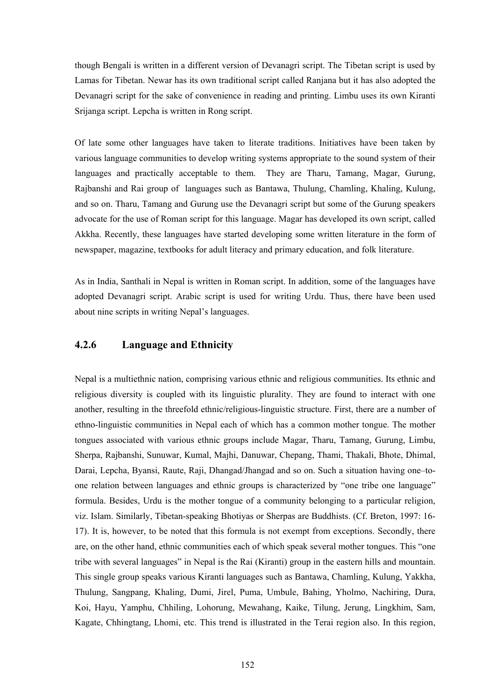though Bengali is written in a different version of Devanagri script. The Tibetan script is used by Lamas for Tibetan. Newar has its own traditional script called Ranjana but it has also adopted the Devanagri script for the sake of convenience in reading and printing. Limbu uses its own Kiranti Srijanga script. Lepcha is written in Rong script.

Of late some other languages have taken to literate traditions. Initiatives have been taken by various language communities to develop writing systems appropriate to the sound system of their languages and practically acceptable to them. They are Tharu, Tamang, Magar, Gurung, Rajbanshi and Rai group of languages such as Bantawa, Thulung, Chamling, Khaling, Kulung, and so on. Tharu, Tamang and Gurung use the Devanagri script but some of the Gurung speakers advocate for the use of Roman script for this language. Magar has developed its own script, called Akkha. Recently, these languages have started developing some written literature in the form of newspaper, magazine, textbooks for adult literacy and primary education, and folk literature.

As in India, Santhali in Nepal is written in Roman script. In addition, some of the languages have adopted Devanagri script. Arabic script is used for writing Urdu. Thus, there have been used about nine scripts in writing Nepal's languages.

## **4.2.6 Language and Ethnicity**

Nepal is a multiethnic nation, comprising various ethnic and religious communities. Its ethnic and religious diversity is coupled with its linguistic plurality. They are found to interact with one another, resulting in the threefold ethnic/religious-linguistic structure. First, there are a number of ethno-linguistic communities in Nepal each of which has a common mother tongue. The mother tongues associated with various ethnic groups include Magar, Tharu, Tamang, Gurung, Limbu, Sherpa, Rajbanshi, Sunuwar, Kumal, Majhi, Danuwar, Chepang, Thami, Thakali, Bhote, Dhimal, Darai, Lepcha, Byansi, Raute, Raji, Dhangad/Jhangad and so on. Such a situation having one–toone relation between languages and ethnic groups is characterized by "one tribe one language" formula. Besides, Urdu is the mother tongue of a community belonging to a particular religion, viz. Islam. Similarly, Tibetan-speaking Bhotiyas or Sherpas are Buddhists. (Cf. Breton, 1997: 16- 17). It is, however, to be noted that this formula is not exempt from exceptions. Secondly, there are, on the other hand, ethnic communities each of which speak several mother tongues. This "one tribe with several languages" in Nepal is the Rai (Kiranti) group in the eastern hills and mountain. This single group speaks various Kiranti languages such as Bantawa, Chamling, Kulung, Yakkha, Thulung, Sangpang, Khaling, Dumi, Jirel, Puma, Umbule, Bahing, Yholmo, Nachiring, Dura, Koi, Hayu, Yamphu, Chhiling, Lohorung, Mewahang, Kaike, Tilung, Jerung, Lingkhim, Sam, Kagate, Chhingtang, Lhomi, etc. This trend is illustrated in the Terai region also. In this region,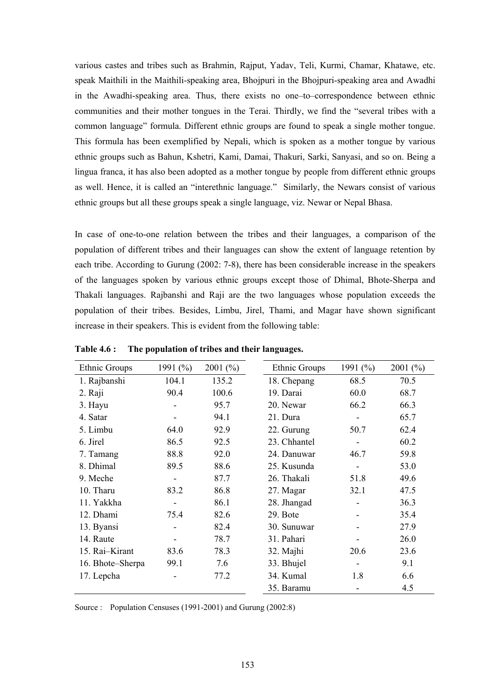various castes and tribes such as Brahmin, Rajput, Yadav, Teli, Kurmi, Chamar, Khatawe, etc. speak Maithili in the Maithili-speaking area, Bhojpuri in the Bhojpuri-speaking area and Awadhi in the Awadhi-speaking area. Thus, there exists no one–to–correspondence between ethnic communities and their mother tongues in the Terai. Thirdly, we find the "several tribes with a common language" formula. Different ethnic groups are found to speak a single mother tongue. This formula has been exemplified by Nepali, which is spoken as a mother tongue by various ethnic groups such as Bahun, Kshetri, Kami, Damai, Thakuri, Sarki, Sanyasi, and so on. Being a lingua franca, it has also been adopted as a mother tongue by people from different ethnic groups as well. Hence, it is called an "interethnic language." Similarly, the Newars consist of various ethnic groups but all these groups speak a single language, viz. Newar or Nepal Bhasa.

In case of one-to-one relation between the tribes and their languages, a comparison of the population of different tribes and their languages can show the extent of language retention by each tribe. According to Gurung (2002: 7-8), there has been considerable increase in the speakers of the languages spoken by various ethnic groups except those of Dhimal, Bhote-Sherpa and Thakali languages. Rajbanshi and Raji are the two languages whose population exceeds the population of their tribes. Besides, Limbu, Jirel, Thami, and Magar have shown significant increase in their speakers. This is evident from the following table:

| Ethnic Groups    | 1991 $(\% )$ | $2001\ (%)$ |              | Ethnic Groups | 1991 $(\% )$ | 2001(%) |
|------------------|--------------|-------------|--------------|---------------|--------------|---------|
| 1. Rajbanshi     | 104.1        | 135.2       | 18. Chepang  |               | 68.5         | 70.5    |
| 2. Raji          | 90.4         | 100.6       | 19. Darai    |               | 60.0         | 68.7    |
| 3. Hayu          |              | 95.7        | 20. Newar    |               | 66.2         | 66.3    |
| 4. Satar         |              | 94.1        | 21. Dura     |               |              | 65.7    |
| 5. Limbu         | 64.0         | 92.9        | 22. Gurung   |               | 50.7         | 62.4    |
| 6. Jirel         | 86.5         | 92.5        | 23. Chhantel |               |              | 60.2    |
| 7. Tamang        | 88.8         | 92.0        | 24. Danuwar  |               | 46.7         | 59.8    |
| 8. Dhimal        | 89.5         | 88.6        | 25. Kusunda  |               |              | 53.0    |
| 9. Meche         |              | 87.7        | 26. Thakali  |               | 51.8         | 49.6    |
| 10. Tharu        | 83.2         | 86.8        | 27. Magar    |               | 32.1         | 47.5    |
| 11. Yakkha       |              | 86.1        | 28. Jhangad  |               |              | 36.3    |
| 12. Dhami        | 75.4         | 82.6        | 29. Bote     |               |              | 35.4    |
| 13. Byansi       |              | 82.4        | 30. Sunuwar  |               |              | 27.9    |
| 14. Raute        |              | 78.7        | 31. Pahari   |               |              | 26.0    |
| 15. Rai-Kirant   | 83.6         | 78.3        | 32. Majhi    |               | 20.6         | 23.6    |
| 16. Bhote-Sherpa | 99.1         | 7.6         | 33. Bhujel   |               |              | 9.1     |
| 17. Lepcha       |              | 77.2        | 34. Kumal    |               | 1.8          | 6.6     |
|                  |              |             | 35. Baramu   |               |              | 4.5     |

**Table 4.6 : The population of tribes and their languages.** 

Source : Population Censuses (1991-2001) and Gurung (2002:8)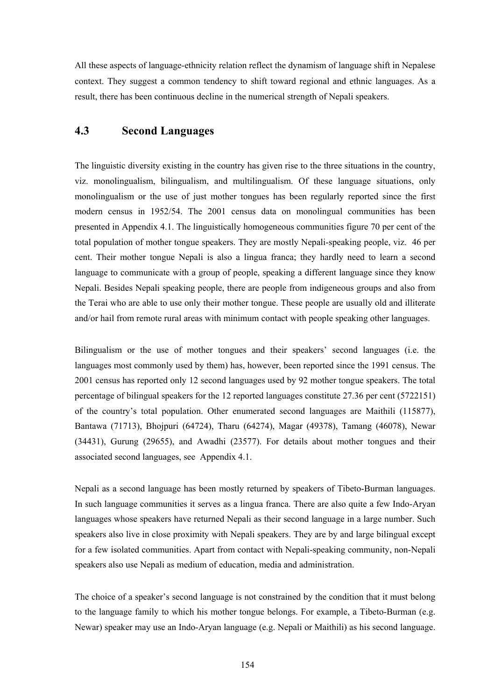All these aspects of language-ethnicity relation reflect the dynamism of language shift in Nepalese context. They suggest a common tendency to shift toward regional and ethnic languages. As a result, there has been continuous decline in the numerical strength of Nepali speakers.

# **4.3 Second Languages**

The linguistic diversity existing in the country has given rise to the three situations in the country, viz. monolingualism, bilingualism, and multilingualism. Of these language situations, only monolingualism or the use of just mother tongues has been regularly reported since the first modern census in 1952/54. The 2001 census data on monolingual communities has been presented in Appendix 4.1. The linguistically homogeneous communities figure 70 per cent of the total population of mother tongue speakers. They are mostly Nepali-speaking people, viz. 46 per cent. Their mother tongue Nepali is also a lingua franca; they hardly need to learn a second language to communicate with a group of people, speaking a different language since they know Nepali. Besides Nepali speaking people, there are people from indigeneous groups and also from the Terai who are able to use only their mother tongue. These people are usually old and illiterate and/or hail from remote rural areas with minimum contact with people speaking other languages.

Bilingualism or the use of mother tongues and their speakers' second languages (i.e. the languages most commonly used by them) has, however, been reported since the 1991 census. The 2001 census has reported only 12 second languages used by 92 mother tongue speakers. The total percentage of bilingual speakers for the 12 reported languages constitute 27.36 per cent (5722151) of the country's total population. Other enumerated second languages are Maithili (115877), Bantawa (71713), Bhojpuri (64724), Tharu (64274), Magar (49378), Tamang (46078), Newar (34431), Gurung (29655), and Awadhi (23577). For details about mother tongues and their associated second languages, see Appendix 4.1.

Nepali as a second language has been mostly returned by speakers of Tibeto-Burman languages. In such language communities it serves as a lingua franca. There are also quite a few Indo-Aryan languages whose speakers have returned Nepali as their second language in a large number. Such speakers also live in close proximity with Nepali speakers. They are by and large bilingual except for a few isolated communities. Apart from contact with Nepali-speaking community, non-Nepali speakers also use Nepali as medium of education, media and administration.

The choice of a speaker's second language is not constrained by the condition that it must belong to the language family to which his mother tongue belongs. For example, a Tibeto-Burman (e.g. Newar) speaker may use an Indo-Aryan language (e.g. Nepali or Maithili) as his second language.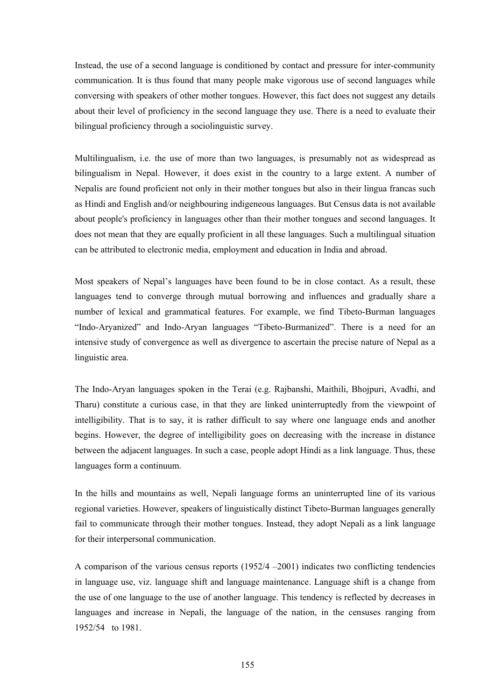Instead, the use of a second language is conditioned by contact and pressure for inter-community communication. It is thus found that many people make vigorous use of second languages while conversing with speakers of other mother tongues. However, this fact does not suggest any details about their level of proficiency in the second language they use. There is a need to evaluate their bilingual proficiency through a sociolinguistic survey.

Multilingualism, i.e. the use of more than two languages, is presumably not as widespread as bilingualism in Nepal. However, it does exist in the country to a large extent. A number of Nepalis are found proficient not only in their mother tongues but also in their lingua francas such as Hindi and English and/or neighbouring indigeneous languages. But Census data is not available about people's proficiency in languages other than their mother tongues and second languages. It does not mean that they are equally proficient in all these languages. Such a multilingual situation can be attributed to electronic media, employment and education in India and abroad.

Most speakers of Nepal's languages have been found to be in close contact. As a result, these languages tend to converge through mutual borrowing and influences and gradually share a number of lexical and grammatical features. For example, we find Tibeto-Burman languages "Indo-Aryanized" and Indo-Aryan languages "Tibeto-Burmanized". There is a need for an intensive study of convergence as well as divergence to ascertain the precise nature of Nepal as a linguistic area.

The Indo-Aryan languages spoken in the Terai (e.g. Rajbanshi, Maithili, Bhojpuri, Avadhi, and Tharu) constitute a curious case, in that they are linked uninterruptedly from the viewpoint of intelligibility. That is to say, it is rather difficult to say where one language ends and another begins. However, the degree of intelligibility goes on decreasing with the increase in distance between the adjacent languages. In such a case, people adopt Hindi as a link language. Thus, these languages form a continuum.

In the hills and mountains as well, Nepali language forms an uninterrupted line of its various regional varieties. However, speakers of linguistically distinct Tibeto-Burman languages generally fail to communicate through their mother tongues. Instead, they adopt Nepali as a link language for their interpersonal communication.

A comparison of the various census reports (1952/4 –2001) indicates two conflicting tendencies in language use, viz. language shift and language maintenance. Language shift is a change from the use of one language to the use of another language. This tendency is reflected by decreases in languages and increase in Nepali, the language of the nation, in the censuses ranging from 1952/54 to 1981.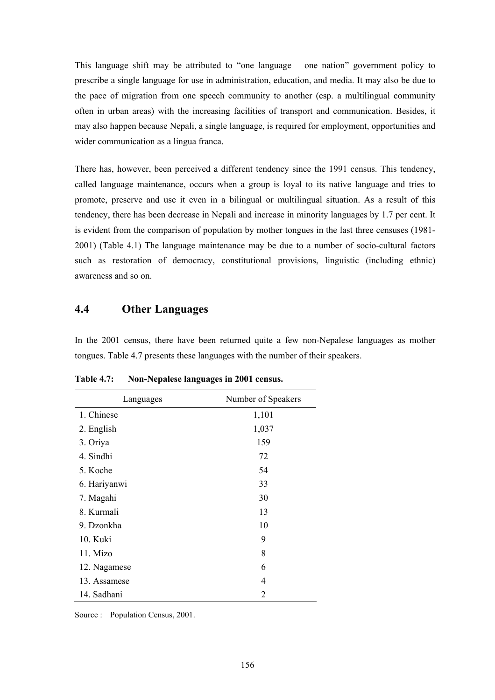This language shift may be attributed to "one language – one nation" government policy to prescribe a single language for use in administration, education, and media. It may also be due to the pace of migration from one speech community to another (esp. a multilingual community often in urban areas) with the increasing facilities of transport and communication. Besides, it may also happen because Nepali, a single language, is required for employment, opportunities and wider communication as a lingua franca.

There has, however, been perceived a different tendency since the 1991 census. This tendency, called language maintenance, occurs when a group is loyal to its native language and tries to promote, preserve and use it even in a bilingual or multilingual situation. As a result of this tendency, there has been decrease in Nepali and increase in minority languages by 1.7 per cent. It is evident from the comparison of population by mother tongues in the last three censuses (1981-2001) (Table 4.1) The language maintenance may be due to a number of socio-cultural factors such as restoration of democracy, constitutional provisions, linguistic (including ethnic) awareness and so on.

# **4.4 Other Languages**

In the 2001 census, there have been returned quite a few non-Nepalese languages as mother tongues. Table 4.7 presents these languages with the number of their speakers.

| Languages    | Number of Speakers |
|--------------|--------------------|
| 1. Chinese   | 1,101              |
| 2. English   | 1,037              |
| 3. Oriya     | 159                |
| 4. Sindhi    | 72                 |
| 5. Koche     | 54                 |
| 6. Hariyanwi | 33                 |
| 7. Magahi    | 30                 |
| 8. Kurmali   | 13                 |
| 9. Dzonkha   | 10                 |
| 10. Kuki     | 9                  |
| 11. Mizo     | 8                  |
| 12. Nagamese | 6                  |
| 13. Assamese | 4                  |
| 14. Sadhani  | 2                  |

**Table 4.7: Non-Nepalese languages in 2001 census.** 

Source : Population Census, 2001.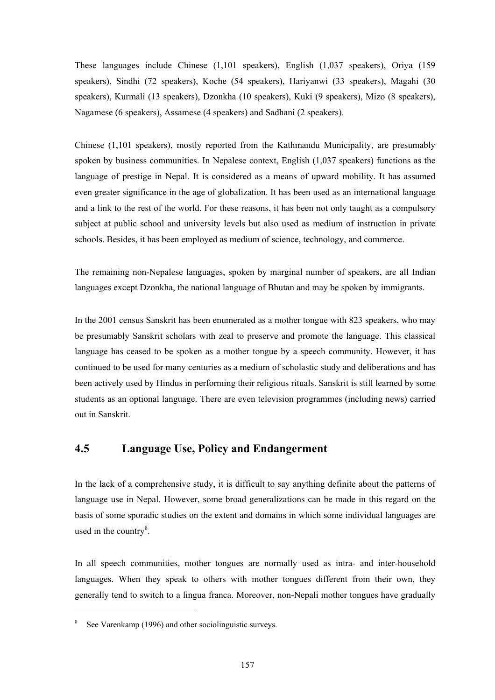These languages include Chinese (1,101 speakers), English (1,037 speakers), Oriya (159 speakers), Sindhi (72 speakers), Koche (54 speakers), Hariyanwi (33 speakers), Magahi (30 speakers), Kurmali (13 speakers), Dzonkha (10 speakers), Kuki (9 speakers), Mizo (8 speakers), Nagamese (6 speakers), Assamese (4 speakers) and Sadhani (2 speakers).

Chinese (1,101 speakers), mostly reported from the Kathmandu Municipality, are presumably spoken by business communities. In Nepalese context, English (1,037 speakers) functions as the language of prestige in Nepal. It is considered as a means of upward mobility. It has assumed even greater significance in the age of globalization. It has been used as an international language and a link to the rest of the world. For these reasons, it has been not only taught as a compulsory subject at public school and university levels but also used as medium of instruction in private schools. Besides, it has been employed as medium of science, technology, and commerce.

The remaining non-Nepalese languages, spoken by marginal number of speakers, are all Indian languages except Dzonkha, the national language of Bhutan and may be spoken by immigrants.

In the 2001 census Sanskrit has been enumerated as a mother tongue with 823 speakers, who may be presumably Sanskrit scholars with zeal to preserve and promote the language. This classical language has ceased to be spoken as a mother tongue by a speech community. However, it has continued to be used for many centuries as a medium of scholastic study and deliberations and has been actively used by Hindus in performing their religious rituals. Sanskrit is still learned by some students as an optional language. There are even television programmes (including news) carried out in Sanskrit.

## **4.5 Language Use, Policy and Endangerment**

In the lack of a comprehensive study, it is difficult to say anything definite about the patterns of language use in Nepal. However, some broad generalizations can be made in this regard on the basis of some sporadic studies on the extent and domains in which some individual languages are used in the country $8$ .

In all speech communities, mother tongues are normally used as intra- and inter-household languages. When they speak to others with mother tongues different from their own, they generally tend to switch to a lingua franca. Moreover, non-Nepali mother tongues have gradually

l

<sup>&</sup>lt;sup>8</sup> See Varenkamp (1996) and other sociolinguistic surveys.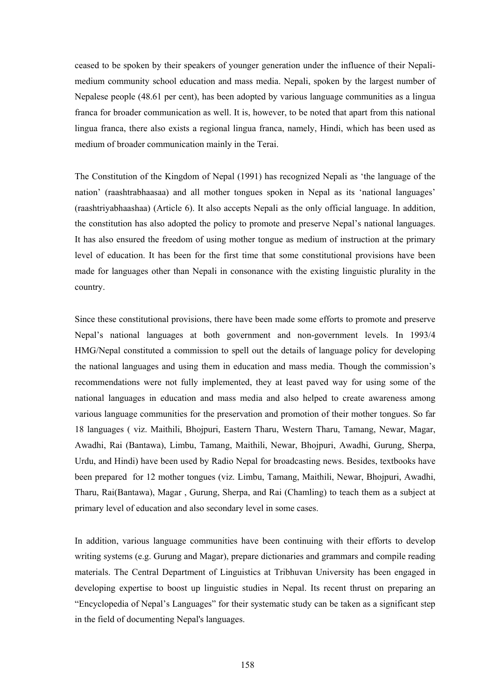ceased to be spoken by their speakers of younger generation under the influence of their Nepalimedium community school education and mass media. Nepali, spoken by the largest number of Nepalese people (48.61 per cent), has been adopted by various language communities as a lingua franca for broader communication as well. It is, however, to be noted that apart from this national lingua franca, there also exists a regional lingua franca, namely, Hindi, which has been used as medium of broader communication mainly in the Terai.

The Constitution of the Kingdom of Nepal (1991) has recognized Nepali as 'the language of the nation' (raashtrabhaasaa) and all mother tongues spoken in Nepal as its 'national languages' (raashtriyabhaashaa) (Article 6). It also accepts Nepali as the only official language. In addition, the constitution has also adopted the policy to promote and preserve Nepal's national languages. It has also ensured the freedom of using mother tongue as medium of instruction at the primary level of education. It has been for the first time that some constitutional provisions have been made for languages other than Nepali in consonance with the existing linguistic plurality in the country.

Since these constitutional provisions, there have been made some efforts to promote and preserve Nepal's national languages at both government and non-government levels. In 1993/4 HMG/Nepal constituted a commission to spell out the details of language policy for developing the national languages and using them in education and mass media. Though the commission's recommendations were not fully implemented, they at least paved way for using some of the national languages in education and mass media and also helped to create awareness among various language communities for the preservation and promotion of their mother tongues. So far 18 languages ( viz. Maithili, Bhojpuri, Eastern Tharu, Western Tharu, Tamang, Newar, Magar, Awadhi, Rai (Bantawa), Limbu, Tamang, Maithili, Newar, Bhojpuri, Awadhi, Gurung, Sherpa, Urdu, and Hindi) have been used by Radio Nepal for broadcasting news. Besides, textbooks have been prepared for 12 mother tongues (viz. Limbu, Tamang, Maithili, Newar, Bhojpuri, Awadhi, Tharu, Rai(Bantawa), Magar , Gurung, Sherpa, and Rai (Chamling) to teach them as a subject at primary level of education and also secondary level in some cases.

In addition, various language communities have been continuing with their efforts to develop writing systems (e.g. Gurung and Magar), prepare dictionaries and grammars and compile reading materials. The Central Department of Linguistics at Tribhuvan University has been engaged in developing expertise to boost up linguistic studies in Nepal. Its recent thrust on preparing an "Encyclopedia of Nepal's Languages" for their systematic study can be taken as a significant step in the field of documenting Nepal's languages.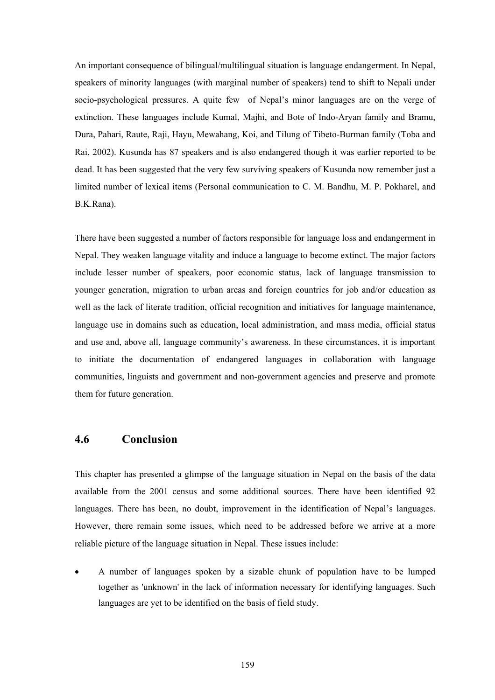An important consequence of bilingual/multilingual situation is language endangerment. In Nepal, speakers of minority languages (with marginal number of speakers) tend to shift to Nepali under socio-psychological pressures. A quite few of Nepal's minor languages are on the verge of extinction. These languages include Kumal, Majhi, and Bote of Indo-Aryan family and Bramu, Dura, Pahari, Raute, Raji, Hayu, Mewahang, Koi, and Tilung of Tibeto-Burman family (Toba and Rai, 2002). Kusunda has 87 speakers and is also endangered though it was earlier reported to be dead. It has been suggested that the very few surviving speakers of Kusunda now remember just a limited number of lexical items (Personal communication to C. M. Bandhu, M. P. Pokharel, and B.K.Rana).

There have been suggested a number of factors responsible for language loss and endangerment in Nepal. They weaken language vitality and induce a language to become extinct. The major factors include lesser number of speakers, poor economic status, lack of language transmission to younger generation, migration to urban areas and foreign countries for job and/or education as well as the lack of literate tradition, official recognition and initiatives for language maintenance, language use in domains such as education, local administration, and mass media, official status and use and, above all, language community's awareness. In these circumstances, it is important to initiate the documentation of endangered languages in collaboration with language communities, linguists and government and non-government agencies and preserve and promote them for future generation.

## **4.6 Conclusion**

This chapter has presented a glimpse of the language situation in Nepal on the basis of the data available from the 2001 census and some additional sources. There have been identified 92 languages. There has been, no doubt, improvement in the identification of Nepal's languages. However, there remain some issues, which need to be addressed before we arrive at a more reliable picture of the language situation in Nepal. These issues include:

• A number of languages spoken by a sizable chunk of population have to be lumped together as 'unknown' in the lack of information necessary for identifying languages. Such languages are yet to be identified on the basis of field study.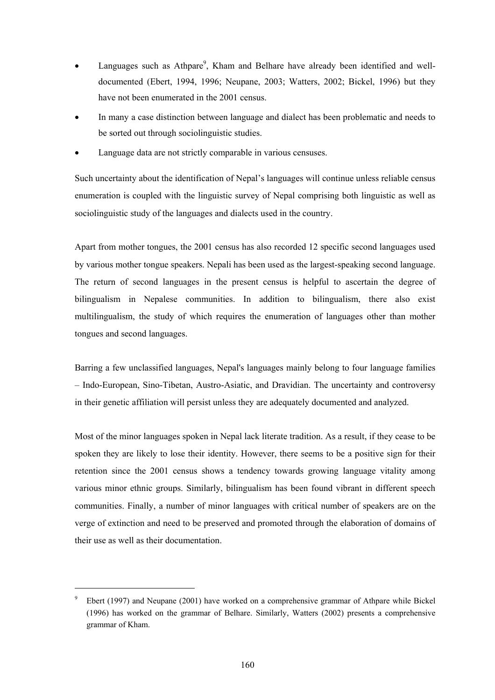- Languages such as Athpare<sup>9</sup>, Kham and Belhare have already been identified and welldocumented (Ebert, 1994, 1996; Neupane, 2003; Watters, 2002; Bickel, 1996) but they have not been enumerated in the 2001 census.
- In many a case distinction between language and dialect has been problematic and needs to be sorted out through sociolinguistic studies.
- Language data are not strictly comparable in various censuses.

Such uncertainty about the identification of Nepal's languages will continue unless reliable census enumeration is coupled with the linguistic survey of Nepal comprising both linguistic as well as sociolinguistic study of the languages and dialects used in the country.

Apart from mother tongues, the 2001 census has also recorded 12 specific second languages used by various mother tongue speakers. Nepali has been used as the largest-speaking second language. The return of second languages in the present census is helpful to ascertain the degree of bilingualism in Nepalese communities. In addition to bilingualism, there also exist multilingualism, the study of which requires the enumeration of languages other than mother tongues and second languages.

Barring a few unclassified languages, Nepal's languages mainly belong to four language families – Indo-European, Sino-Tibetan, Austro-Asiatic, and Dravidian. The uncertainty and controversy in their genetic affiliation will persist unless they are adequately documented and analyzed.

Most of the minor languages spoken in Nepal lack literate tradition. As a result, if they cease to be spoken they are likely to lose their identity. However, there seems to be a positive sign for their retention since the 2001 census shows a tendency towards growing language vitality among various minor ethnic groups. Similarly, bilingualism has been found vibrant in different speech communities. Finally, a number of minor languages with critical number of speakers are on the verge of extinction and need to be preserved and promoted through the elaboration of domains of their use as well as their documentation.

l

 $9^9$  Ebert (1997) and Neupane (2001) have worked on a comprehensive grammar of Athpare while Bickel (1996) has worked on the grammar of Belhare. Similarly, Watters (2002) presents a comprehensive grammar of Kham.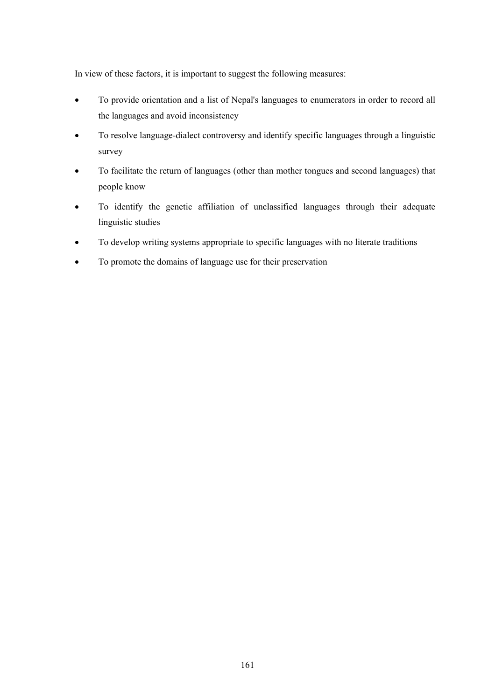In view of these factors, it is important to suggest the following measures:

- To provide orientation and a list of Nepal's languages to enumerators in order to record all the languages and avoid inconsistency
- To resolve language-dialect controversy and identify specific languages through a linguistic survey
- To facilitate the return of languages (other than mother tongues and second languages) that people know
- To identify the genetic affiliation of unclassified languages through their adequate linguistic studies
- To develop writing systems appropriate to specific languages with no literate traditions
- To promote the domains of language use for their preservation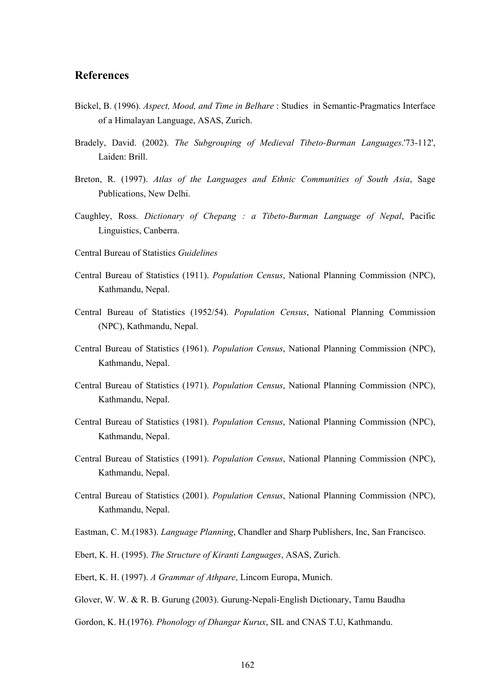### **References**

- Bickel, B. (1996). *Aspect, Mood, and Time in Belhare* : Studies in Semantic-Pragmatics Interface of a Himalayan Language, ASAS, Zurich.
- Bradely, David. (2002). *The Subgrouping of Medieval Tibeto-Burman Languages*.'73-112', Laiden: Brill.
- Breton, R. (1997). *Atlas of the Languages and Ethnic Communities of South Asia*, Sage Publications, New Delhi.
- Caughley, Ross. *Dictionary of Chepang : a Tibeto-Burman Language of Nepal*, Pacific Linguistics, Canberra.
- Central Bureau of Statistics *Guidelines*
- Central Bureau of Statistics (1911). *Population Census*, National Planning Commission (NPC), Kathmandu, Nepal.
- Central Bureau of Statistics (1952/54). *Population Census*, National Planning Commission (NPC), Kathmandu, Nepal.
- Central Bureau of Statistics (1961). *Population Census*, National Planning Commission (NPC), Kathmandu, Nepal.
- Central Bureau of Statistics (1971). *Population Census*, National Planning Commission (NPC), Kathmandu, Nepal.
- Central Bureau of Statistics (1981). *Population Census*, National Planning Commission (NPC), Kathmandu, Nepal.
- Central Bureau of Statistics (1991). *Population Census*, National Planning Commission (NPC), Kathmandu, Nepal.
- Central Bureau of Statistics (2001). *Population Census*, National Planning Commission (NPC), Kathmandu, Nepal.
- Eastman, C. M.(1983). *Language Planning*, Chandler and Sharp Publishers, Inc, San Francisco.
- Ebert, K. H. (1995). *The Structure of Kiranti Languages*, ASAS, Zurich.
- Ebert, K. H. (1997). *A Grammar of Athpare*, Lincom Europa, Munich.
- Glover, W. W. & R. B. Gurung (2003). Gurung-Nepali-English Dictionary, Tamu Baudha
- Gordon, K. H.(1976). *Phonology of Dhangar Kurux*, SIL and CNAS T.U, Kathmandu.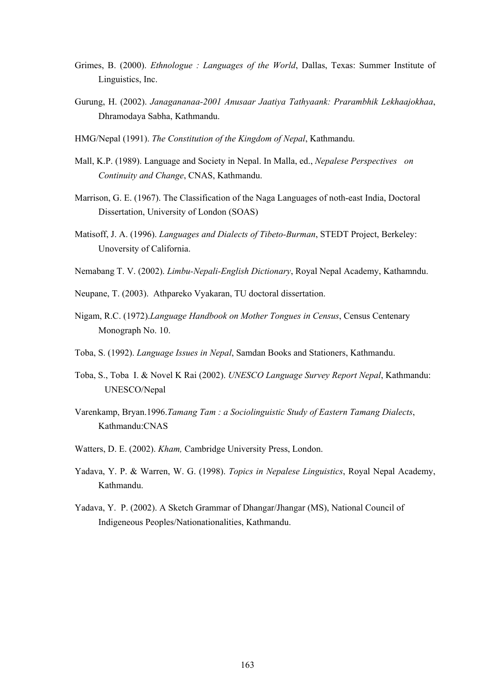- Grimes, B. (2000). *Ethnologue : Languages of the World*, Dallas, Texas: Summer Institute of Linguistics, Inc.
- Gurung, H. (2002). *Janagananaa-2001 Anusaar Jaatiya Tathyaank: Prarambhik Lekhaajokhaa*, Dhramodaya Sabha, Kathmandu.
- HMG/Nepal (1991). *The Constitution of the Kingdom of Nepal*, Kathmandu.
- Mall, K.P. (1989). Language and Society in Nepal. In Malla, ed., *Nepalese Perspectives on Continuity and Change*, CNAS, Kathmandu.
- Marrison, G. E. (1967). The Classification of the Naga Languages of noth-east India, Doctoral Dissertation, University of London (SOAS)
- Matisoff, J. A. (1996). *Languages and Dialects of Tibeto-Burman*, STEDT Project, Berkeley: Unoversity of California.
- Nemabang T. V. (2002). *Limbu-Nepali-English Dictionary*, Royal Nepal Academy, Kathamndu.
- Neupane, T. (2003). Athpareko Vyakaran, TU doctoral dissertation.
- Nigam, R.C. (1972).*Language Handbook on Mother Tongues in Census*, Census Centenary Monograph No. 10.
- Toba, S. (1992). *Language Issues in Nepal*, Samdan Books and Stationers, Kathmandu.
- Toba, S., Toba I. & Novel K Rai (2002). *UNESCO Language Survey Report Nepal*, Kathmandu: UNESCO/Nepal
- Varenkamp, Bryan.1996.*Tamang Tam : a Sociolinguistic Study of Eastern Tamang Dialects*, Kathmandu:CNAS
- Watters, D. E. (2002). *Kham,* Cambridge University Press, London.
- Yadava, Y. P. & Warren, W. G. (1998). *Topics in Nepalese Linguistics*, Royal Nepal Academy, Kathmandu.
- Yadava, Y. P. (2002). A Sketch Grammar of Dhangar/Jhangar (MS), National Council of Indigeneous Peoples/Nationationalities, Kathmandu.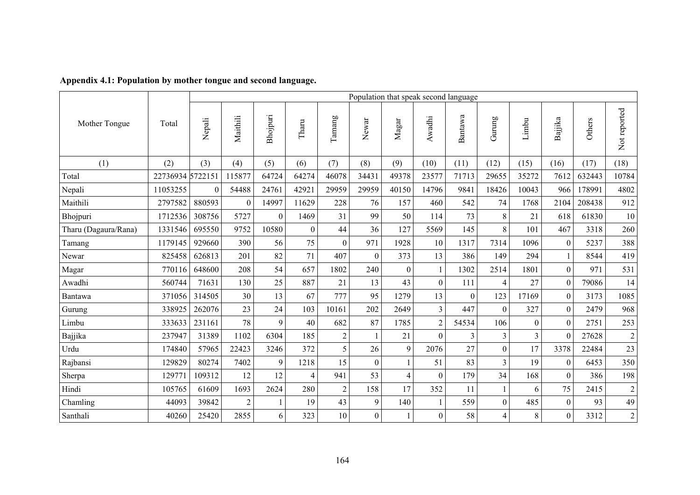|                      |          |                  | Population that speak second language |                          |                |                |                  |                |                |          |                  |          |                  |        |                |
|----------------------|----------|------------------|---------------------------------------|--------------------------|----------------|----------------|------------------|----------------|----------------|----------|------------------|----------|------------------|--------|----------------|
| Mother Tongue        | Total    | Nepali           | Maithili                              | Bhojpuri                 | Tharu          | Tamang         | Newar            | $M$ agar       | Awadhi         | Bantawa  | Gurung           | Limbu    | Bajjika          | Others | Not reported   |
| (1)                  | (2)      | (3)              | (4)                                   | (5)                      | (6)            | (7)            | (8)              | (9)            | (10)           | (11)     | (12)             | (15)     | (16)             | (17)   | (18)           |
| Total                | 22736934 | 5722151          | 115877                                | 64724                    | 64274          | 46078          | 34431            | 49378          | 23577          | 71713    | 29655            | 35272    | 7612             | 632443 | 10784          |
| Nepali               | 11053255 | $\boldsymbol{0}$ | 54488                                 | 24761                    | 42921          | 29959          | 29959            | 40150          | 14796          | 9841     | 18426            | 10043    | 966              | 178991 | 4802           |
| Maithili             | 2797582  | 880593           | $\theta$                              | 14997                    | 11629          | 228            | 76               | 157            | 460            | 542      | 74               | 1768     | 2104             | 208438 | 912            |
| Bhojpuri             | 1712536  | 308756           | 5727                                  | $\boldsymbol{0}$         | 1469           | 31             | 99               | 50             | 114            | 73       | 8                | 21       | 618              | 61830  | $10\,$         |
| Tharu (Dagaura/Rana) | 1331546  | 695550           | 9752                                  | 10580                    | $\theta$       | 44             | 36               | 127            | 5569           | 145      | 8                | 101      | 467              | 3318   | 260            |
| Tamang               | 1179145  | 929660           | 390                                   | 56                       | 75             | $\theta$       | 971              | 1928           | 10             | 1317     | 7314             | 1096     | $\theta$         | 5237   | 388            |
| Newar                | 825458   | 626813           | 201                                   | 82                       | 71             | 407            | $\Omega$         | 373            | 13             | 386      | 149              | 294      |                  | 8544   | 419            |
| Magar                | 770116   | 648600           | 208                                   | 54                       | 657            | 1802           | 240              | $\Omega$       | 1              | 1302     | 2514             | 1801     | $\Omega$         | 971    | 531            |
| Awadhi               | 560744   | 71631            | 130                                   | 25                       | 887            | 21             | 13               | 43             | $\mathbf{0}$   | 111      | 4                | 27       | $\boldsymbol{0}$ | 79086  | 14             |
| Bantawa              | 371056   | 314505           | 30                                    | 13                       | 67             | 777            | 95               | 1279           | 13             | $\theta$ | 123              | 17169    | $\Omega$         | 3173   | 1085           |
| Gurung               | 338925   | 262076           | 23                                    | 24                       | 103            | 10161          | 202              | 2649           | 3              | 447      | $\mathbf{0}$     | 327      | $\overline{0}$   | 2479   | 968            |
| Limbu                | 333633   | 231161           | 78                                    | 9                        | 40             | 682            | 87               | 1785           | $\overline{2}$ | 54534    | 106              | $\theta$ | $\theta$         | 2751   | 253            |
| Bajjika              | 237947   | 31389            | 1102                                  | 6304                     | 185            | $\overline{2}$ |                  | 21             | $\Omega$       | 3        | 3                | 3        | $\Omega$         | 27628  | $\overline{2}$ |
| Urdu                 | 174840   | 57965            | 22423                                 | 3246                     | 372            | 5              | 26               | 9              | 2076           | 27       | $\boldsymbol{0}$ | 17       | 3378             | 22484  | 23             |
| Rajbansi             | 129829   | 80274            | 7402                                  | 9                        | 1218           | 15             | $\Omega$         |                | 51             | 83       | 3                | 19       | $\theta$         | 6453   | 350            |
| Sherpa               | 12977    | 109312           | 12                                    | 12                       | $\overline{4}$ | 941            | 53               | $\overline{4}$ | $\theta$       | 179      | 34               | 168      | $\overline{0}$   | 386    | 198            |
| Hindi                | 105765   | 61609            | 1693                                  | 2624                     | 280            | $\overline{2}$ | 158              | 17             | 352            | 11       |                  | 6        | 75               | 2415   | $\overline{c}$ |
| Chamling             | 44093    | 39842            | $\overline{2}$                        | $\overline{\phantom{a}}$ | 19             | 43             | 9                | 140            |                | 559      | $\theta$         | 485      | $\theta$         | 93     | 49             |
| Santhali             | 40260    | 25420            | 2855                                  | 6                        | 323            | 10             | $\boldsymbol{0}$ |                | $\overline{0}$ | 58       | 4                | 8        | $\overline{0}$   | 3312   | $\overline{2}$ |

# **Appendix 4.1: Population by mother tongue and second language.**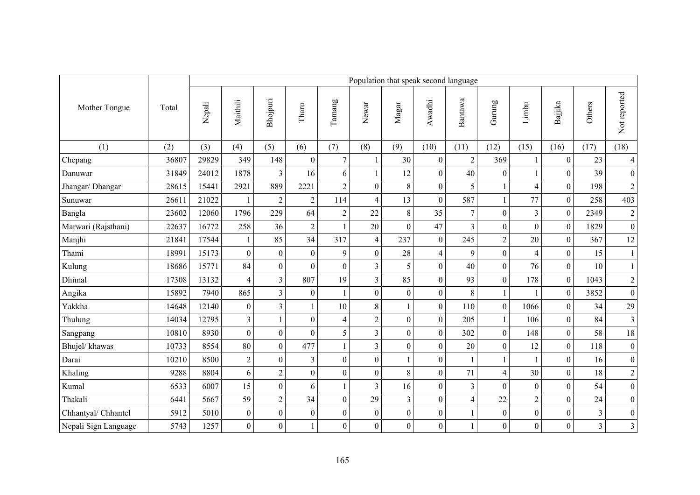|                      |       | Population that speak second language |                  |                  |                  |                |                  |                  |                  |                         |                          |                  |                  |        |                         |
|----------------------|-------|---------------------------------------|------------------|------------------|------------------|----------------|------------------|------------------|------------------|-------------------------|--------------------------|------------------|------------------|--------|-------------------------|
| Mother Tongue        | Total | Nepali                                | Maithili         | Bhojpuri         | Tharu            | Tamang         | Newar            | $M$ agar         | Awadhi           | Bantawa                 | Gurung                   | Limbu            | Bajjika          | Others | Not reported            |
| (1)                  | (2)   | (3)                                   | (4)              | (5)              | (6)              | (7)            | (8)              | (9)              | (10)             | (11)                    | (12)                     | (15)             | (16)             | (17)   | (18)                    |
| Chepang              | 36807 | 29829                                 | 349              | 148              | $\boldsymbol{0}$ | $\overline{7}$ |                  | 30               | $\boldsymbol{0}$ | $\overline{c}$          | 369                      | $\mathbf{1}$     | $\overline{0}$   | 23     | $\overline{4}$          |
| Danuwar              | 31849 | 24012                                 | 1878             | $\mathfrak{Z}$   | 16               | 6              | $\mathbf{1}$     | 12               | $\overline{0}$   | 40                      | $\boldsymbol{0}$         |                  | $\overline{0}$   | 39     | $\boldsymbol{0}$        |
| Jhangar/ Dhangar     | 28615 | 15441                                 | 2921             | 889              | 2221             | $\overline{2}$ | $\overline{0}$   | 8                | $\mathbf{0}$     | 5                       |                          | $\overline{4}$   | $\boldsymbol{0}$ | 198    | $\overline{c}$          |
| Sunuwar              | 26611 | 21022                                 |                  | $\overline{2}$   | $\sqrt{2}$       | 114            | $\overline{4}$   | 13               | $\boldsymbol{0}$ | 587                     | $\mathbf{1}$             | 77               | $\boldsymbol{0}$ | 258    | 403                     |
| Bangla               | 23602 | 12060                                 | 1796             | 229              | 64               | $\overline{2}$ | 22               | 8                | 35               | $\overline{7}$          | $\overline{0}$           | $\overline{3}$   | $\boldsymbol{0}$ | 2349   | $\overline{c}$          |
| Marwari (Rajsthani)  | 22637 | 16772                                 | 258              | 36               | $\sqrt{2}$       | $\mathbf{1}$   | 20               | $\mathbf{0}$     | 47               | $\overline{3}$          | $\overline{0}$           | $\overline{0}$   | $\overline{0}$   | 1829   | $\boldsymbol{0}$        |
| Manjhi               | 21841 | 17544                                 |                  | 85               | 34               | 317            | $\overline{4}$   | 237              | $\mathbf{0}$     | 245                     | $\overline{2}$           | 20               | $\overline{0}$   | 367    | 12                      |
| Thami                | 18991 | 15173                                 | $\boldsymbol{0}$ | $\boldsymbol{0}$ | $\boldsymbol{0}$ | 9              | $\mathbf{0}$     | 28               | $\overline{4}$   | 9                       | $\boldsymbol{0}$         | $\overline{4}$   | $\boldsymbol{0}$ | 15     | $\,1$                   |
| Kulung               | 18686 | 15771                                 | 84               | $\overline{0}$   | $\overline{0}$   | $\theta$       | 3                | 5                | $\mathbf{0}$     | 40                      | $\mathbf{0}$             | 76               | $\boldsymbol{0}$ | 10     | $\mathbf{1}$            |
| Dhimal               | 17308 | 13132                                 | $\overline{4}$   | $\overline{3}$   | 807              | 19             | $\overline{3}$   | 85               | $\overline{0}$   | 93                      | $\mathbf{0}$             | 178              | $\boldsymbol{0}$ | 1043   | $\overline{c}$          |
| Angika               | 15892 | 7940                                  | 865              | $\overline{3}$   | $\mathbf{0}$     | 1              | $\theta$         | $\mathbf{0}$     | $\mathbf{0}$     | 8                       | $\mathbf{1}$             | $\mathbf{1}$     | $\overline{0}$   | 3852   | $\overline{0}$          |
| Yakkha               | 14648 | 12140                                 | $\boldsymbol{0}$ | 3                | $\mathbf{1}$     | 10             | 8                |                  | $\overline{0}$   | 110                     | $\boldsymbol{0}$         | 1066             | $\boldsymbol{0}$ | 34     | 29                      |
| Thulung              | 14034 | 12795                                 | $\overline{3}$   | $\mathbf{1}$     | $\boldsymbol{0}$ | 4              | $\overline{2}$   | $\theta$         | $\theta$         | 205                     | 1                        | 106              | $\theta$         | 84     | 3                       |
| Sangpang             | 10810 | 8930                                  | $\boldsymbol{0}$ | $\boldsymbol{0}$ | $\boldsymbol{0}$ | 5              | $\overline{3}$   | $\boldsymbol{0}$ | $\overline{0}$   | 302                     | $\boldsymbol{0}$         | 148              | $\boldsymbol{0}$ | 58     | $18\,$                  |
| Bhujel/khawas        | 10733 | 8554                                  | 80               | $\mathbf{0}$     | 477              | $\mathbf{1}$   | $\overline{3}$   | $\mathbf{0}$     | $\mathbf{0}$     | 20                      | $\overline{0}$           | 12               | $\overline{0}$   | 118    | $\boldsymbol{0}$        |
| Darai                | 10210 | 8500                                  | $\sqrt{2}$       | $\boldsymbol{0}$ | $\mathfrak{Z}$   | $\overline{0}$ | $\overline{0}$   |                  | $\mathbf{0}$     |                         |                          |                  | $\boldsymbol{0}$ | 16     | $\boldsymbol{0}$        |
| Khaling              | 9288  | 8804                                  | 6                | $\sqrt{2}$       | $\boldsymbol{0}$ | $\overline{0}$ | $\boldsymbol{0}$ | 8                | $\mathbf{0}$     | 71                      | $\overline{\mathcal{L}}$ | 30               | $\boldsymbol{0}$ | 18     | $\overline{c}$          |
| Kumal                | 6533  | 6007                                  | 15               | $\boldsymbol{0}$ | 6                | 1              | $\overline{3}$   | 16               | $\mathbf{0}$     | $\overline{\mathbf{3}}$ | $\overline{0}$           | $\boldsymbol{0}$ | $\boldsymbol{0}$ | 54     | $\boldsymbol{0}$        |
| Thakali              | 6441  | 5667                                  | 59               | $\sqrt{2}$       | 34               | $\overline{0}$ | 29               | $\overline{3}$   | $\mathbf{0}$     | $\overline{4}$          | 22                       | $\overline{c}$   | $\boldsymbol{0}$ | 24     | $\overline{0}$          |
| Chhantyal/ Chhantel  | 5912  | 5010                                  | $\boldsymbol{0}$ | $\overline{0}$   | $\boldsymbol{0}$ | $\overline{0}$ | $\boldsymbol{0}$ | $\boldsymbol{0}$ | $\mathbf{0}$     |                         | $\boldsymbol{0}$         | $\mathbf{0}$     | $\boldsymbol{0}$ | 3      | $\boldsymbol{0}$        |
| Nepali Sign Language | 5743  | 1257                                  | $\boldsymbol{0}$ | $\overline{0}$   |                  | $\overline{0}$ | $\boldsymbol{0}$ | $\boldsymbol{0}$ | $\boldsymbol{0}$ |                         | $\overline{0}$           | $\boldsymbol{0}$ | $\boldsymbol{0}$ | 3      | $\overline{\mathbf{3}}$ |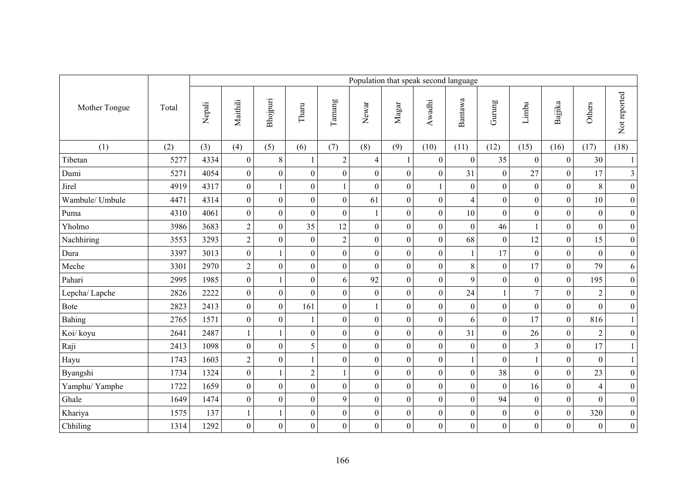|                 |       | Population that speak second language |                  |                  |                  |                  |                  |                  |                  |                         |                  |                  |                  |                  |                  |
|-----------------|-------|---------------------------------------|------------------|------------------|------------------|------------------|------------------|------------------|------------------|-------------------------|------------------|------------------|------------------|------------------|------------------|
| Mother Tongue   | Total | Nepali                                | Maithili         | Bhojpuri         | Tharu            | Tamang           | Newar            | $\rm Magar$      | Awadhi           | Bantawa                 | Gurung           | Limbu            | Bajjika          | Others           | Not reported     |
| (1)             | (2)   | (3)                                   | (4)              | (5)              | (6)              | (7)              | (8)              | (9)              | (10)             | (11)                    | (12)             | (15)             | (16)             | (17)             | (18)             |
| Tibetan         | 5277  | 4334                                  | $\boldsymbol{0}$ | $8\,$            | $\mathbf{1}$     | $\overline{c}$   | $\overline{4}$   | 1                | $\boldsymbol{0}$ | $\overline{0}$          | 35               | $\boldsymbol{0}$ | $\mathbf{0}$     | 30               | $\mathbf{1}$     |
| Dumi            | 5271  | 4054                                  | $\boldsymbol{0}$ | $\boldsymbol{0}$ | $\boldsymbol{0}$ | $\overline{0}$   | $\overline{0}$   | $\boldsymbol{0}$ | $\boldsymbol{0}$ | 31                      | $\boldsymbol{0}$ | 27               | $\boldsymbol{0}$ | 17               | 3                |
| Jirel           | 4919  | 4317                                  | $\boldsymbol{0}$ | $\mathbf{1}$     | $\boldsymbol{0}$ |                  | $\overline{0}$   | $\boldsymbol{0}$ |                  | $\boldsymbol{0}$        | $\overline{0}$   | $\boldsymbol{0}$ | $\boldsymbol{0}$ | 8                | $\boldsymbol{0}$ |
| Wambule/ Umbule | 4471  | 4314                                  | $\boldsymbol{0}$ | $\boldsymbol{0}$ | $\boldsymbol{0}$ | $\boldsymbol{0}$ | 61               | $\boldsymbol{0}$ | $\boldsymbol{0}$ | $\overline{\mathbf{4}}$ | $\boldsymbol{0}$ | $\boldsymbol{0}$ | $\boldsymbol{0}$ | 10               | $\overline{0}$   |
| Puma            | 4310  | 4061                                  | $\boldsymbol{0}$ | $\boldsymbol{0}$ | $\boldsymbol{0}$ | $\boldsymbol{0}$ |                  | $\boldsymbol{0}$ | $\boldsymbol{0}$ | 10                      | $\overline{0}$   | $\boldsymbol{0}$ | $\boldsymbol{0}$ | $\boldsymbol{0}$ | $\boldsymbol{0}$ |
| Yholmo          | 3986  | 3683                                  | $\overline{2}$   | $\boldsymbol{0}$ | 35               | 12               | $\boldsymbol{0}$ | $\boldsymbol{0}$ | $\boldsymbol{0}$ | $\boldsymbol{0}$        | 46               | $\mathbf{1}$     | $\boldsymbol{0}$ | $\mathbf{0}$     | $\boldsymbol{0}$ |
| Nachhiring      | 3553  | 3293                                  | $\overline{2}$   | $\overline{0}$   | $\mathbf{0}$     | $\overline{2}$   | $\overline{0}$   | $\boldsymbol{0}$ | $\boldsymbol{0}$ | 68                      | $\mathbf{0}$     | 12               | $\boldsymbol{0}$ | 15               | $\boldsymbol{0}$ |
| Dura            | 3397  | 3013                                  | $\boldsymbol{0}$ | $\mathbf{1}$     | $\boldsymbol{0}$ | $\boldsymbol{0}$ | $\boldsymbol{0}$ | $\boldsymbol{0}$ | $\boldsymbol{0}$ |                         | 17               | $\boldsymbol{0}$ | $\boldsymbol{0}$ | $\mathbf{0}$     | $\boldsymbol{0}$ |
| Meche           | 3301  | 2970                                  | $\overline{c}$   | $\overline{0}$   | $\boldsymbol{0}$ | $\boldsymbol{0}$ | $\overline{0}$   | $\boldsymbol{0}$ | $\boldsymbol{0}$ | $8\,$                   | $\mathbf{0}$     | 17               | $\boldsymbol{0}$ | 79               | 6                |
| Pahari          | 2995  | 1985                                  | $\overline{0}$   | $\mathbf{1}$     | $\boldsymbol{0}$ | 6                | 92               | $\overline{0}$   | $\boldsymbol{0}$ | 9                       | $\overline{0}$   | $\boldsymbol{0}$ | $\overline{0}$   | 195              | $\overline{0}$   |
| Lepcha/Lapche   | 2826  | 2222                                  | $\boldsymbol{0}$ | $\boldsymbol{0}$ | $\overline{0}$   | $\overline{0}$   | $\mathbf{0}$     | $\overline{0}$   | $\mathbf{0}$     | 24                      | $\mathbf{1}$     | $\overline{7}$   | $\boldsymbol{0}$ | $\overline{2}$   | $\boldsymbol{0}$ |
| <b>Bote</b>     | 2823  | 2413                                  | $\boldsymbol{0}$ | $\overline{0}$   | 161              | $\overline{0}$   | 1                | $\boldsymbol{0}$ | $\boldsymbol{0}$ | $\boldsymbol{0}$        | $\boldsymbol{0}$ | $\boldsymbol{0}$ | $\boldsymbol{0}$ | $\boldsymbol{0}$ | $\boldsymbol{0}$ |
| Bahing          | 2765  | 1571                                  | $\boldsymbol{0}$ | $\boldsymbol{0}$ | $\mathbf{1}$     | $\theta$         | $\overline{0}$   | $\boldsymbol{0}$ | $\boldsymbol{0}$ | 6                       | $\boldsymbol{0}$ | 17               | $\boldsymbol{0}$ | 816              | $\mathbf{1}$     |
| Koi/ koyu       | 2641  | 2487                                  | $\mathbf{1}$     | $\mathbf{1}$     | $\boldsymbol{0}$ | $\overline{0}$   | $\boldsymbol{0}$ | $\boldsymbol{0}$ | $\overline{0}$   | 31                      | $\overline{0}$   | 26               | $\boldsymbol{0}$ | $\sqrt{2}$       | $\boldsymbol{0}$ |
| Raji            | 2413  | 1098                                  | $\mathbf{0}$     | $\mathbf{0}$     | 5                | $\overline{0}$   | $\overline{0}$   | $\boldsymbol{0}$ | $\mathbf{0}$     | $\overline{0}$          | $\overline{0}$   | $\overline{3}$   | $\overline{0}$   | 17               | $\mathbf{1}$     |
| Hayu            | 1743  | 1603                                  | $\overline{2}$   | $\boldsymbol{0}$ |                  | $\overline{0}$   | $\boldsymbol{0}$ | $\boldsymbol{0}$ | $\boldsymbol{0}$ |                         | $\boldsymbol{0}$ |                  | $\boldsymbol{0}$ | $\boldsymbol{0}$ | $\mathbf{1}$     |
| Byangshi        | 1734  | 1324                                  | $\boldsymbol{0}$ | $\mathbf{1}$     | $\sqrt{2}$       | 1                | $\boldsymbol{0}$ | $\boldsymbol{0}$ | $\boldsymbol{0}$ | $\boldsymbol{0}$        | 38               | $\boldsymbol{0}$ | $\boldsymbol{0}$ | 23               | $\boldsymbol{0}$ |
| Yamphu/Yamphe   | 1722  | 1659                                  | $\boldsymbol{0}$ | $\boldsymbol{0}$ | $\boldsymbol{0}$ | $\boldsymbol{0}$ | $\overline{0}$   | $\boldsymbol{0}$ | $\boldsymbol{0}$ | $\boldsymbol{0}$        | $\boldsymbol{0}$ | 16               | $\boldsymbol{0}$ | $\overline{4}$   | $\boldsymbol{0}$ |
| Ghale           | 1649  | 1474                                  | $\boldsymbol{0}$ | $\overline{0}$   | $\boldsymbol{0}$ | 9                | $\mathbf{0}$     | $\overline{0}$   | $\boldsymbol{0}$ | $\overline{0}$          | 94               | $\boldsymbol{0}$ | $\boldsymbol{0}$ | $\overline{0}$   | $\boldsymbol{0}$ |
| Khariya         | 1575  | 137                                   | $\mathbf{1}$     | $\mathbf{1}$     | $\boldsymbol{0}$ | $\overline{0}$   | $\boldsymbol{0}$ | $\boldsymbol{0}$ | $\boldsymbol{0}$ | $\boldsymbol{0}$        | $\boldsymbol{0}$ | $\boldsymbol{0}$ | $\boldsymbol{0}$ | 320              | $\boldsymbol{0}$ |
| Chhiling        | 1314  | 1292                                  | $\boldsymbol{0}$ | $\overline{0}$   | $\boldsymbol{0}$ | $\boldsymbol{0}$ | $\boldsymbol{0}$ | $\boldsymbol{0}$ | $\boldsymbol{0}$ | $\boldsymbol{0}$        | $\overline{0}$   | $\boldsymbol{0}$ | $\boldsymbol{0}$ | $\boldsymbol{0}$ | $\overline{0}$   |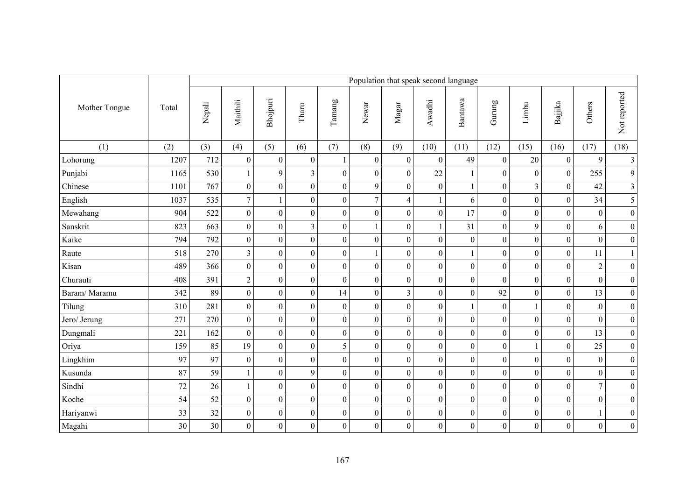|               | Population that speak second language |        |                         |                  |                  |                  |                  |                  |                  |                  |                  |                  |                  |                  |                         |  |  |  |
|---------------|---------------------------------------|--------|-------------------------|------------------|------------------|------------------|------------------|------------------|------------------|------------------|------------------|------------------|------------------|------------------|-------------------------|--|--|--|
| Mother Tongue | Total                                 | Nepali | Maithili                | Bhojpuri         | Tharu            | Tamang           | Newar            | $M$ agar         | Awadhi           | Bantawa          | Gurung           | Limbu            | Bajjika          | Others           | Not reported            |  |  |  |
| (1)           | (2)                                   | (3)    | (4)                     | (5)              | (6)              | (7)              | (8)              | (9)              | (10)             | (11)             | (12)             | (15)             | (16)             | (17)             | (18)                    |  |  |  |
| Lohorung      | 1207                                  | 712    | $\boldsymbol{0}$        | $\boldsymbol{0}$ | $\boldsymbol{0}$ |                  | $\mathbf{0}$     | $\boldsymbol{0}$ | $\boldsymbol{0}$ | 49               | $\boldsymbol{0}$ | 20               | $\boldsymbol{0}$ | 9                | $\overline{\mathbf{3}}$ |  |  |  |
| Punjabi       | 1165                                  | 530    | $\mathbf{1}$            | 9                | $\overline{3}$   | $\boldsymbol{0}$ | $\boldsymbol{0}$ | $\boldsymbol{0}$ | 22               | $\mathbf{1}$     | $\boldsymbol{0}$ | $\boldsymbol{0}$ | $\boldsymbol{0}$ | 255              | $\overline{9}$          |  |  |  |
| Chinese       | 1101                                  | 767    | $\boldsymbol{0}$        | $\boldsymbol{0}$ | $\mathbf{0}$     | $\boldsymbol{0}$ | 9                | $\boldsymbol{0}$ | $\mathbf{0}$     |                  | $\mathbf{0}$     | $\overline{3}$   | $\boldsymbol{0}$ | 42               | $\overline{\mathbf{3}}$ |  |  |  |
| English       | 1037                                  | 535    | $\boldsymbol{7}$        | $\mathbf{1}$     | $\boldsymbol{0}$ | $\boldsymbol{0}$ | $\overline{7}$   | $\overline{4}$   |                  | 6                | $\boldsymbol{0}$ | $\boldsymbol{0}$ | $\boldsymbol{0}$ | 34               | 5                       |  |  |  |
| Mewahang      | 904                                   | 522    | $\boldsymbol{0}$        | $\mathbf{0}$     | $\mathbf{0}$     | $\overline{0}$   | $\overline{0}$   | $\boldsymbol{0}$ | $\mathbf{0}$     | 17               | $\overline{0}$   | $\boldsymbol{0}$ | $\overline{0}$   | $\mathbf{0}$     | $\boldsymbol{0}$        |  |  |  |
| Sanskrit      | 823                                   | 663    | $\boldsymbol{0}$        | $\boldsymbol{0}$ | $\mathfrak{Z}$   | $\overline{0}$   | $\mathbf{1}$     | $\boldsymbol{0}$ |                  | 31               | $\boldsymbol{0}$ | 9                | $\boldsymbol{0}$ | 6                | $\boldsymbol{0}$        |  |  |  |
| Kaike         | 794                                   | 792    | $\boldsymbol{0}$        | $\boldsymbol{0}$ | $\boldsymbol{0}$ | $\overline{0}$   | $\boldsymbol{0}$ | $\boldsymbol{0}$ | $\mathbf{0}$     | $\boldsymbol{0}$ | $\boldsymbol{0}$ | $\boldsymbol{0}$ | $\boldsymbol{0}$ | $\mathbf{0}$     | $\boldsymbol{0}$        |  |  |  |
| Raute         | 518                                   | 270    | $\overline{\mathbf{3}}$ | $\overline{0}$   | $\boldsymbol{0}$ | $\overline{0}$   |                  | $\boldsymbol{0}$ | $\boldsymbol{0}$ |                  | $\boldsymbol{0}$ | $\overline{0}$   | $\boldsymbol{0}$ | 11               | $\,1$                   |  |  |  |
| Kisan         | 489                                   | 366    | $\boldsymbol{0}$        | $\boldsymbol{0}$ | $\boldsymbol{0}$ | $\boldsymbol{0}$ | $\overline{0}$   | $\boldsymbol{0}$ | $\boldsymbol{0}$ | $\boldsymbol{0}$ | $\boldsymbol{0}$ | $\boldsymbol{0}$ | $\boldsymbol{0}$ | $\mathbf{2}$     | $\boldsymbol{0}$        |  |  |  |
| Churauti      | 408                                   | 391    | $\overline{2}$          | $\overline{0}$   | $\mathbf{0}$     | $\overline{0}$   | $\overline{0}$   | $\overline{0}$   | $\boldsymbol{0}$ | $\overline{0}$   | $\overline{0}$   | $\boldsymbol{0}$ | $\boldsymbol{0}$ | $\mathbf{0}$     | $\boldsymbol{0}$        |  |  |  |
| Baram/Maramu  | 342                                   | 89     | $\boldsymbol{0}$        | $\boldsymbol{0}$ | $\boldsymbol{0}$ | 14               | $\boldsymbol{0}$ | $\overline{3}$   | $\boldsymbol{0}$ | $\boldsymbol{0}$ | 92               | $\boldsymbol{0}$ | $\boldsymbol{0}$ | 13               | $\boldsymbol{0}$        |  |  |  |
| Tilung        | 310                                   | 281    | $\boldsymbol{0}$        | $\overline{0}$   | $\boldsymbol{0}$ | $\boldsymbol{0}$ | $\mathbf{0}$     | $\boldsymbol{0}$ | $\boldsymbol{0}$ |                  | $\boldsymbol{0}$ |                  | $\boldsymbol{0}$ | $\mathbf{0}$     | $\boldsymbol{0}$        |  |  |  |
| Jero/ Jerung  | 271                                   | 270    | $\boldsymbol{0}$        | $\boldsymbol{0}$ | $\boldsymbol{0}$ | $\boldsymbol{0}$ | $\boldsymbol{0}$ | $\boldsymbol{0}$ | $\boldsymbol{0}$ | $\boldsymbol{0}$ | $\boldsymbol{0}$ | $\boldsymbol{0}$ | $\boldsymbol{0}$ | $\boldsymbol{0}$ | $\boldsymbol{0}$        |  |  |  |
| Dungmali      | 221                                   | 162    | $\boldsymbol{0}$        | $\boldsymbol{0}$ | $\boldsymbol{0}$ | $\overline{0}$   | $\overline{0}$   | $\boldsymbol{0}$ | $\mathbf{0}$     | $\boldsymbol{0}$ | $\mathbf{0}$     | $\boldsymbol{0}$ | $\boldsymbol{0}$ | 13               | $\boldsymbol{0}$        |  |  |  |
| Oriya         | 159                                   | 85     | 19                      | $\overline{0}$   | $\boldsymbol{0}$ | 5                | $\mathbf{0}$     | $\boldsymbol{0}$ | $\boldsymbol{0}$ | $\boldsymbol{0}$ | $\boldsymbol{0}$ | $\mathbf{1}$     | $\boldsymbol{0}$ | 25               | $\boldsymbol{0}$        |  |  |  |
| Lingkhim      | 97                                    | 97     | $\boldsymbol{0}$        | $\overline{0}$   | $\boldsymbol{0}$ | $\boldsymbol{0}$ | $\mathbf{0}$     | $\boldsymbol{0}$ | $\boldsymbol{0}$ | $\boldsymbol{0}$ | $\overline{0}$   | $\boldsymbol{0}$ | $\boldsymbol{0}$ | $\mathbf{0}$     | $\overline{0}$          |  |  |  |
| Kusunda       | 87                                    | 59     |                         | $\overline{0}$   | 9                | $\overline{0}$   | $\boldsymbol{0}$ | $\boldsymbol{0}$ | $\boldsymbol{0}$ | $\boldsymbol{0}$ | $\boldsymbol{0}$ | $\boldsymbol{0}$ | $\boldsymbol{0}$ | $\boldsymbol{0}$ | $\boldsymbol{0}$        |  |  |  |
| Sindhi        | 72                                    | 26     | $\mathbf{1}$            | $\overline{0}$   | $\boldsymbol{0}$ | $\overline{0}$   | $\overline{0}$   | $\boldsymbol{0}$ | $\boldsymbol{0}$ | $\boldsymbol{0}$ | $\boldsymbol{0}$ | $\boldsymbol{0}$ | $\mathbf{0}$     | 7                | $\boldsymbol{0}$        |  |  |  |
| Koche         | 54                                    | 52     | $\boldsymbol{0}$        | $\boldsymbol{0}$ | $\boldsymbol{0}$ | $\overline{0}$   | $\mathbf{0}$     | $\overline{0}$   | $\overline{0}$   | $\overline{0}$   | $\mathbf{0}$     | $\boldsymbol{0}$ | $\boldsymbol{0}$ | $\mathbf{0}$     | $\boldsymbol{0}$        |  |  |  |
| Hariyanwi     | 33                                    | 32     | $\boldsymbol{0}$        | $\boldsymbol{0}$ | $\boldsymbol{0}$ | $\boldsymbol{0}$ | $\boldsymbol{0}$ | $\boldsymbol{0}$ | $\boldsymbol{0}$ | $\boldsymbol{0}$ | $\boldsymbol{0}$ | $\boldsymbol{0}$ | $\boldsymbol{0}$ |                  | $\boldsymbol{0}$        |  |  |  |
| Magahi        | 30                                    | 30     | $\boldsymbol{0}$        | $\overline{0}$   | $\boldsymbol{0}$ | $\overline{0}$   | $\boldsymbol{0}$ | $\boldsymbol{0}$ | $\boldsymbol{0}$ | $\boldsymbol{0}$ | $\overline{0}$   | $\overline{0}$   | $\boldsymbol{0}$ | $\boldsymbol{0}$ | $\overline{0}$          |  |  |  |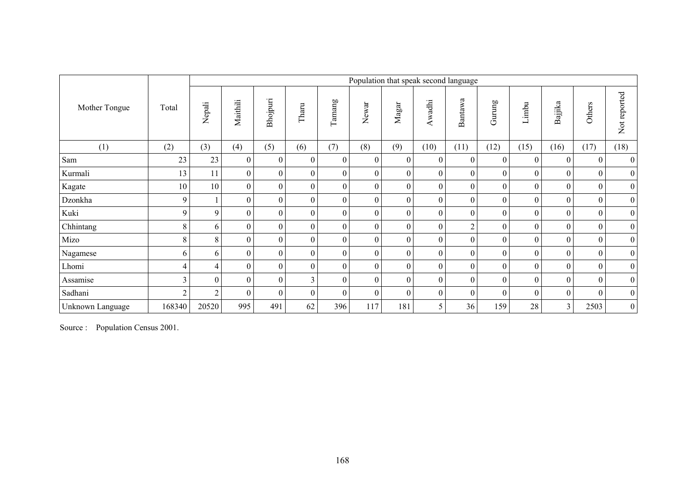|                  |                |                  |                  |                  |                  |                |          |                  |          | Population that speak second language |                  |                  |                |                  |                  |
|------------------|----------------|------------------|------------------|------------------|------------------|----------------|----------|------------------|----------|---------------------------------------|------------------|------------------|----------------|------------------|------------------|
| Mother Tongue    | Total          | Nepali           | Maithili         | Bhojpuri         | Tharu            | Tamang         | Newar    | $M$ agar         | Awadhi   | Bantawa                               | Gurung           | Limbu            | Bajjika        | Others           | Not reported     |
| (1)              | (2)            | (3)              | (4)              | (5)              | (6)              | (7)            | (8)      | (9)              | (10)     | (11)                                  | (12)             | (15)             | (16)           | (17)             | (18)             |
| Sam              | 23             | 23               | $\mathbf{0}$     | $\boldsymbol{0}$ | $\theta$         | $\theta$       | $\Omega$ | $\theta$         | $\Omega$ | $\boldsymbol{0}$                      | $\theta$         | $\theta$         | 0              | $\theta$         | $\overline{0}$   |
| Kurmali          | 13             | 11               | $\boldsymbol{0}$ | $\boldsymbol{0}$ | $\theta$         | $\theta$       | $\Omega$ | $\Omega$         | $\Omega$ | $\boldsymbol{0}$                      | $\overline{0}$   | $\theta$         | $\theta$       | $\boldsymbol{0}$ | $\boldsymbol{0}$ |
| Kagate           | 10             | 10               | $\boldsymbol{0}$ | $\boldsymbol{0}$ | $\theta$         | $\mathbf{0}$   | $\theta$ | $\theta$         | $\Omega$ | $\mathbf{0}$                          | $\theta$         | $\boldsymbol{0}$ | $\theta$       | $\boldsymbol{0}$ | $\boldsymbol{0}$ |
| Dzonkha          | 9              |                  | $\boldsymbol{0}$ | $\boldsymbol{0}$ | $\boldsymbol{0}$ | $\overline{0}$ | $\Omega$ | $\boldsymbol{0}$ | $\Omega$ | $\mathbf{0}$                          | $\theta$         | $\boldsymbol{0}$ | $\overline{0}$ | $\mathbf{0}$     | $\boldsymbol{0}$ |
| Kuki             | 9              | 9                | $\mathbf{0}$     | $\boldsymbol{0}$ | $\boldsymbol{0}$ | $\overline{0}$ | $\theta$ | $\overline{0}$   | $\theta$ | $\mathbf{0}$                          | $\boldsymbol{0}$ | $\boldsymbol{0}$ | $\overline{0}$ | $\boldsymbol{0}$ | $\boldsymbol{0}$ |
| Chhintang        | 8              | 6                | $\boldsymbol{0}$ | $\boldsymbol{0}$ | $\boldsymbol{0}$ | $\overline{0}$ | $\theta$ | $\boldsymbol{0}$ | $\theta$ | $\overline{2}$                        | $\boldsymbol{0}$ | $\boldsymbol{0}$ | $\overline{0}$ | $\boldsymbol{0}$ | $\overline{0}$   |
| Mizo             | 8              | 8                | $\boldsymbol{0}$ | $\boldsymbol{0}$ | $\theta$         | $\theta$       | $\Omega$ | $\Omega$         | $\theta$ | $\boldsymbol{0}$                      | $\theta$         | $\boldsymbol{0}$ | $\overline{0}$ | $\boldsymbol{0}$ | $\boldsymbol{0}$ |
| Nagamese         | 6              | 6                | $\boldsymbol{0}$ | $\boldsymbol{0}$ | $\theta$         | $\theta$       | $\theta$ | $\Omega$         | $\theta$ | $\boldsymbol{0}$                      | $\theta$         | $\boldsymbol{0}$ | $\theta$       | $\mathbf{0}$     | $\boldsymbol{0}$ |
| Lhomi            | 4              | 4                | $\boldsymbol{0}$ | $\boldsymbol{0}$ | $\theta$         | $\overline{0}$ | $\theta$ | $\boldsymbol{0}$ | $\theta$ | $\boldsymbol{0}$                      | $\boldsymbol{0}$ | $\boldsymbol{0}$ | $\overline{0}$ | $\mathbf{0}$     | $\boldsymbol{0}$ |
| Assamise         | $\overline{3}$ | $\boldsymbol{0}$ | $\boldsymbol{0}$ | $\boldsymbol{0}$ | 3                | $\theta$       | $\Omega$ | $\mathbf{0}$     | $\theta$ | $\boldsymbol{0}$                      | $\theta$         | $\boldsymbol{0}$ | $\theta$       | $\boldsymbol{0}$ | $\boldsymbol{0}$ |
| Sadhani          | $\overline{2}$ | $\overline{2}$   | $\mathbf{0}$     | $\theta$         | $\theta$         | $\theta$       | $\Omega$ | $\theta$         | $\theta$ | $\boldsymbol{0}$                      | $\theta$         | $\theta$         | $\theta$       | $\theta$         | $\boldsymbol{0}$ |
| Unknown Language | 168340         | 20520            | 995              | 491              | 62               | 396            | 117      | 181              | 5.       | 36                                    | 159              | 28               | 3 <sub>1</sub> | 2503             | $\boldsymbol{0}$ |

Source : Population Census 2001.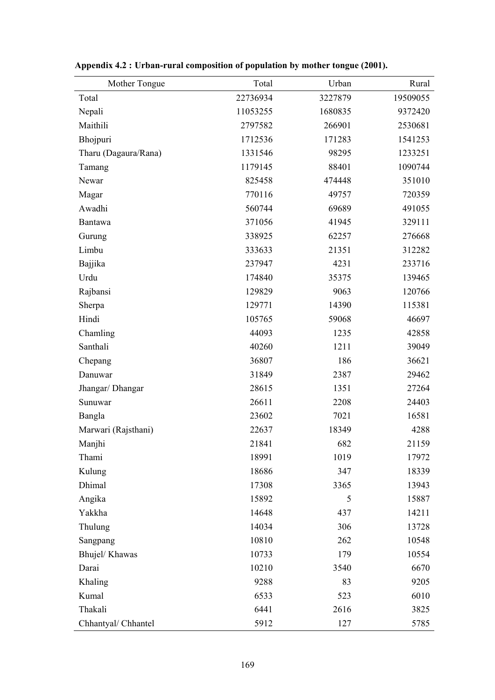| Mother Tongue        | Total    | Urban   | Rural    |
|----------------------|----------|---------|----------|
| Total                | 22736934 | 3227879 | 19509055 |
| Nepali               | 11053255 | 1680835 | 9372420  |
| Maithili             | 2797582  | 266901  | 2530681  |
| Bhojpuri             | 1712536  | 171283  | 1541253  |
| Tharu (Dagaura/Rana) | 1331546  | 98295   | 1233251  |
| Tamang               | 1179145  | 88401   | 1090744  |
| Newar                | 825458   | 474448  | 351010   |
| Magar                | 770116   | 49757   | 720359   |
| Awadhi               | 560744   | 69689   | 491055   |
| Bantawa              | 371056   | 41945   | 329111   |
| Gurung               | 338925   | 62257   | 276668   |
| Limbu                | 333633   | 21351   | 312282   |
| Bajjika              | 237947   | 4231    | 233716   |
| Urdu                 | 174840   | 35375   | 139465   |
| Rajbansi             | 129829   | 9063    | 120766   |
| Sherpa               | 129771   | 14390   | 115381   |
| Hindi                | 105765   | 59068   | 46697    |
| Chamling             | 44093    | 1235    | 42858    |
| Santhali             | 40260    | 1211    | 39049    |
| Chepang              | 36807    | 186     | 36621    |
| Danuwar              | 31849    | 2387    | 29462    |
| Jhangar/ Dhangar     | 28615    | 1351    | 27264    |
| Sunuwar              | 26611    | 2208    | 24403    |
| Bangla               | 23602    | 7021    | 16581    |
| Marwari (Rajsthani)  | 22637    | 18349   | 4288     |
| Manjhi               | 21841    | 682     | 21159    |
| Thami                | 18991    | 1019    | 17972    |
| Kulung               | 18686    | 347     | 18339    |
| Dhimal               | 17308    | 3365    | 13943    |
| Angika               | 15892    | 5       | 15887    |
| Yakkha               | 14648    | 437     | 14211    |
| Thulung              | 14034    | 306     | 13728    |
| Sangpang             | 10810    | 262     | 10548    |
| Bhujel/Khawas        | 10733    | 179     | 10554    |
| Darai                | 10210    | 3540    | 6670     |
| Khaling              | 9288     | 83      | 9205     |
| Kumal                | 6533     | 523     | 6010     |
| Thakali              | 6441     | 2616    | 3825     |
| Chhantyal/ Chhantel  | 5912     | 127     | 5785     |

|  |  | Appendix 4.2 : Urban-rural composition of population by mother tongue (2001). |
|--|--|-------------------------------------------------------------------------------|
|  |  |                                                                               |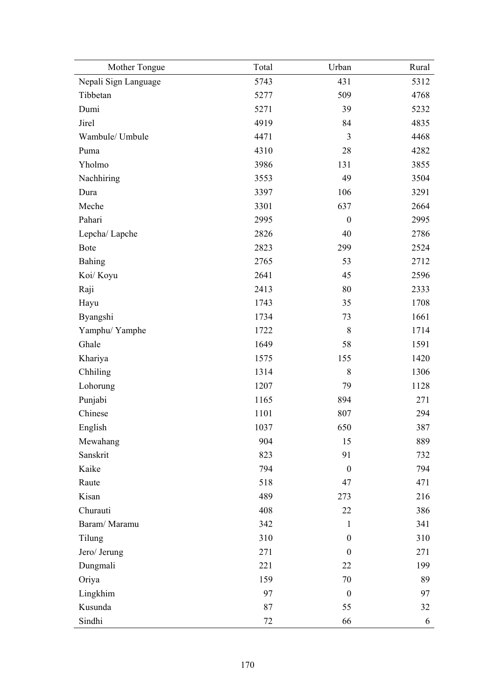| Mother Tongue        | Total | Urban            | Rural |
|----------------------|-------|------------------|-------|
| Nepali Sign Language | 5743  | 431              | 5312  |
| Tibbetan             | 5277  | 509              | 4768  |
| Dumi                 | 5271  | 39               | 5232  |
| Jirel                | 4919  | 84               | 4835  |
| Wambule/ Umbule      | 4471  | 3                | 4468  |
| Puma                 | 4310  | 28               | 4282  |
| Yholmo               | 3986  | 131              | 3855  |
| Nachhiring           | 3553  | 49               | 3504  |
| Dura                 | 3397  | 106              | 3291  |
| Meche                | 3301  | 637              | 2664  |
| Pahari               | 2995  | $\boldsymbol{0}$ | 2995  |
| Lepcha/Lapche        | 2826  | 40               | 2786  |
| <b>Bote</b>          | 2823  | 299              | 2524  |
| <b>Bahing</b>        | 2765  | 53               | 2712  |
| Koi/ Koyu            | 2641  | 45               | 2596  |
| Raji                 | 2413  | 80               | 2333  |
| Hayu                 | 1743  | 35               | 1708  |
| Byangshi             | 1734  | 73               | 1661  |
| Yamphu/Yamphe        | 1722  | 8                | 1714  |
| Ghale                | 1649  | 58               | 1591  |
| Khariya              | 1575  | 155              | 1420  |
| Chhiling             | 1314  | 8                | 1306  |
| Lohorung             | 1207  | 79               | 1128  |
| Punjabi              | 1165  | 894              | 271   |
| Chinese              | 1101  | 807              | 294   |
| English              | 1037  | 650              | 387   |
| Mewahang             | 904   | 15               | 889   |
| Sanskrit             | 823   | 91               | 732   |
| Kaike                | 794   | $\boldsymbol{0}$ | 794   |
| Raute                | 518   | 47               | 471   |
| Kisan                | 489   | 273              | 216   |
| Churauti             | 408   | 22               | 386   |
| Baram/Maramu         | 342   | $\mathbf{1}$     | 341   |
| Tilung               | 310   | $\boldsymbol{0}$ | 310   |
| Jero/ Jerung         | 271   | $\mathbf{0}$     | 271   |
| Dungmali             | 221   | 22               | 199   |
| Oriya                | 159   | 70               | 89    |
| Lingkhim             | 97    | $\boldsymbol{0}$ | 97    |
| Kusunda              | 87    | 55               | 32    |
| Sindhi               | 72    | 66               | 6     |